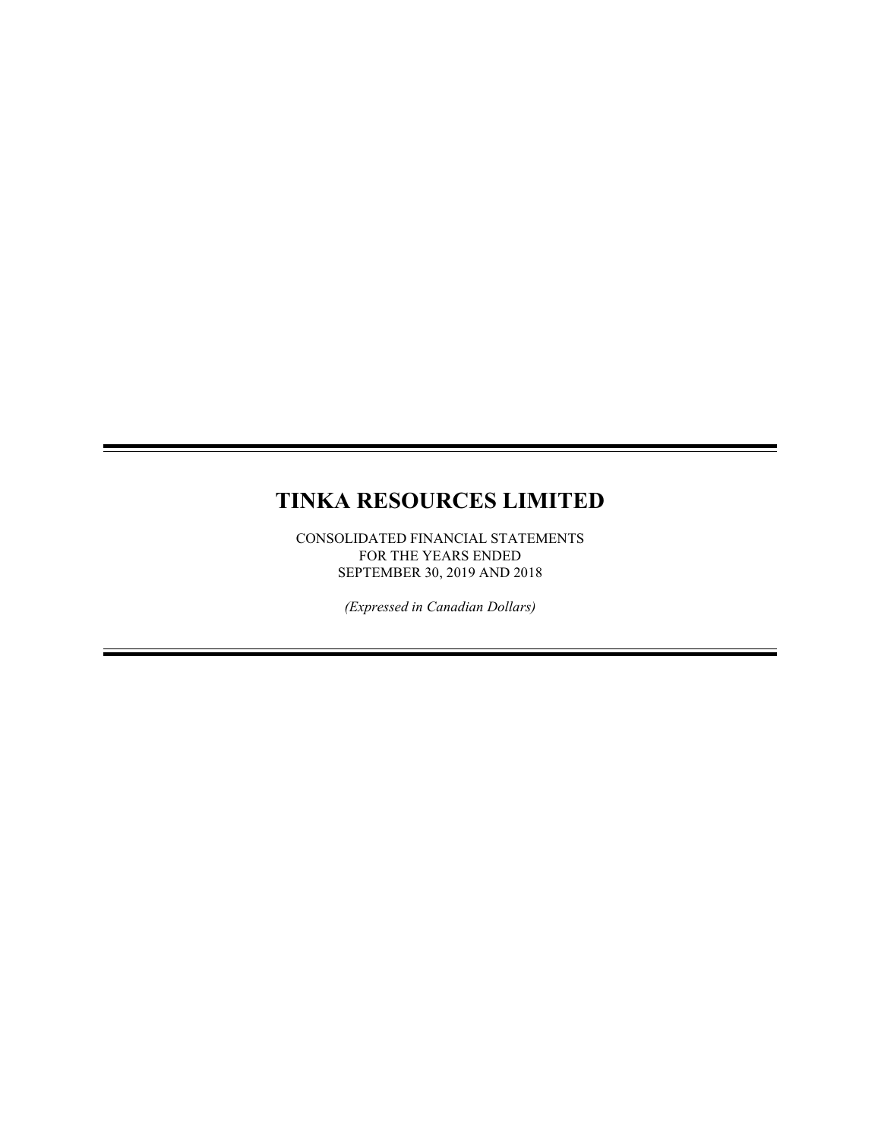# **TINKA RESOURCES LIMITED**

CONSOLIDATED FINANCIAL STATEMENTS FOR THE YEARS ENDED SEPTEMBER 30, 2019 AND 2018

*(Expressed in Canadian Dollars)*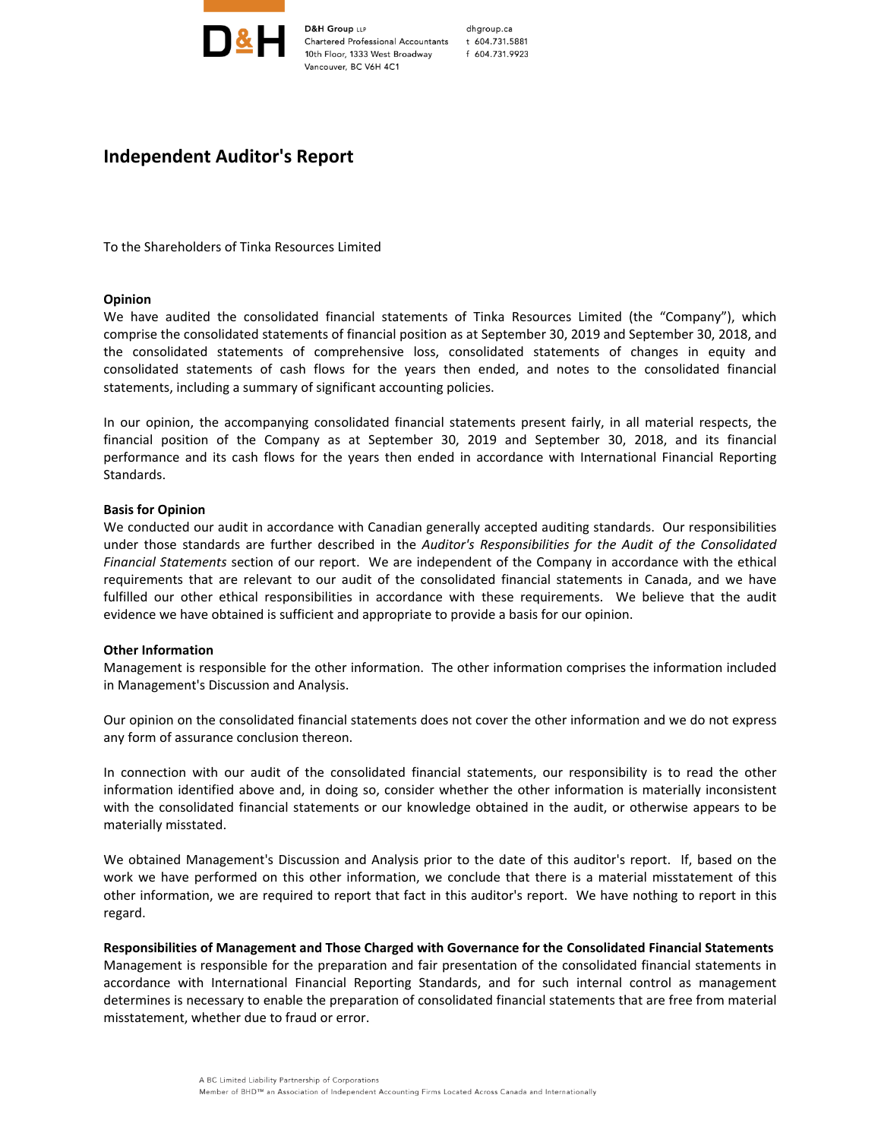

D&H Group LLP Chartered Professional Accountants t 604.731.5881 10th Floor, 1333 West Broadway Vancouver, BC V6H 4C1

dhgroup.ca f 604.731.9923

## **Independent Auditor's Report**

To the Shareholders of Tinka Resources Limited

#### **Opinion**

We have audited the consolidated financial statements of Tinka Resources Limited (the "Company"), which comprise the consolidated statements of financial position as at September 30, 2019 and September 30, 2018, and the consolidated statements of comprehensive loss, consolidated statements of changes in equity and consolidated statements of cash flows for the years then ended, and notes to the consolidated financial statements, including a summary of significant accounting policies.

In our opinion, the accompanying consolidated financial statements present fairly, in all material respects, the financial position of the Company as at September 30, 2019 and September 30, 2018, and its financial performance and its cash flows for the years then ended in accordance with International Financial Reporting Standards.

#### **Basis for Opinion**

We conducted our audit in accordance with Canadian generally accepted auditing standards. Our responsibilities under those standards are further described in the *Auditor's Responsibilities for the Audit of the Consolidated Financial Statements* section of our report. We are independent of the Company in accordance with the ethical requirements that are relevant to our audit of the consolidated financial statements in Canada, and we have fulfilled our other ethical responsibilities in accordance with these requirements. We believe that the audit evidence we have obtained is sufficient and appropriate to provide a basis for our opinion.

#### **Other Information**

Management is responsible for the other information. The other information comprises the information included in Management's Discussion and Analysis.

Our opinion on the consolidated financial statements does not cover the other information and we do not express any form of assurance conclusion thereon.

In connection with our audit of the consolidated financial statements, our responsibility is to read the other information identified above and, in doing so, consider whether the other information is materially inconsistent with the consolidated financial statements or our knowledge obtained in the audit, or otherwise appears to be materially misstated.

We obtained Management's Discussion and Analysis prior to the date of this auditor's report. If, based on the work we have performed on this other information, we conclude that there is a material misstatement of this other information, we are required to report that fact in this auditor's report. We have nothing to report in this regard.

**Responsibilities of Management and Those Charged with Governance for the Consolidated Financial Statements** Management is responsible for the preparation and fair presentation of the consolidated financial statements in accordance with International Financial Reporting Standards, and for such internal control as management determines is necessary to enable the preparation of consolidated financial statements that are free from material misstatement, whether due to fraud or error.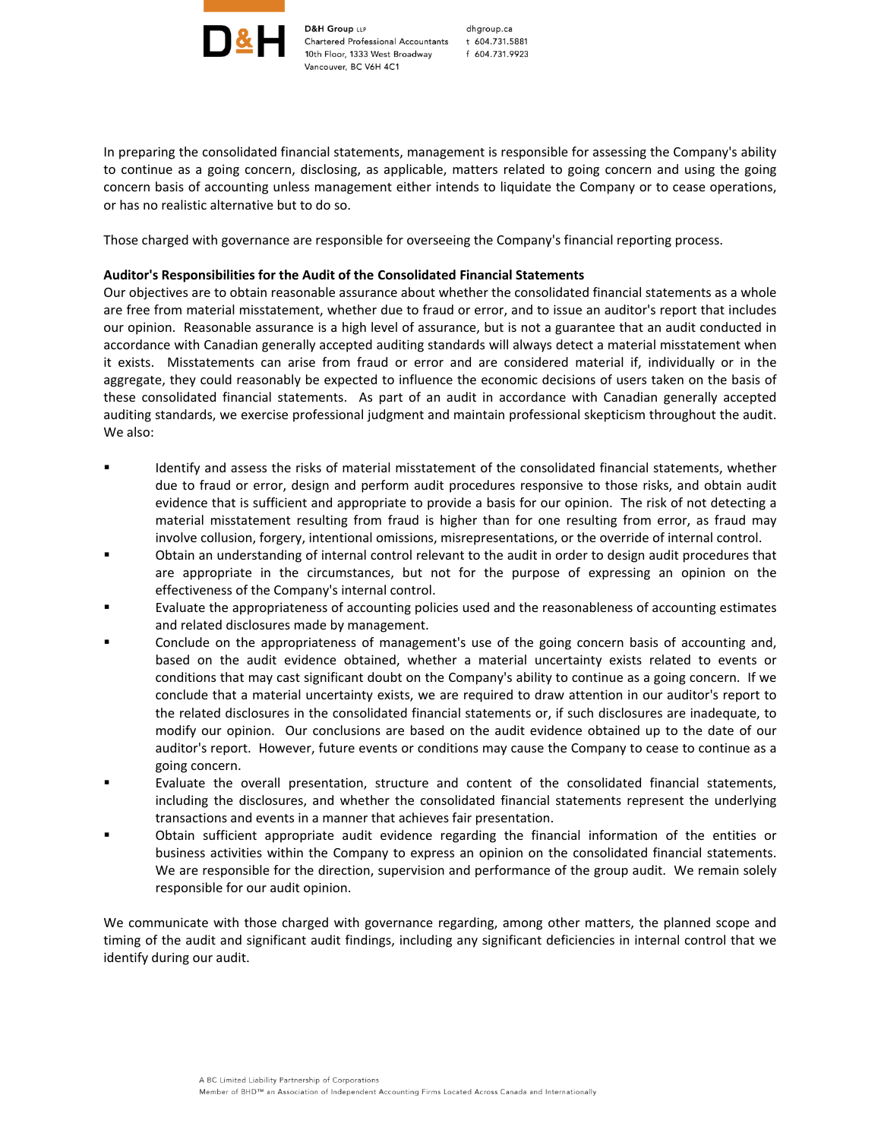

D&H Group LLP Chartered Professional Accountants t 604.731.5881 10th Floor, 1333 West Broadway Vancouver, BC V6H 4C1

dhgroup.ca f 604.731.9923

In preparing the consolidated financial statements, management is responsible for assessing the Company's ability to continue as a going concern, disclosing, as applicable, matters related to going concern and using the going concern basis of accounting unless management either intends to liquidate the Company or to cease operations, or has no realistic alternative but to do so.

Those charged with governance are responsible for overseeing the Company's financial reporting process.

#### **Auditor's Responsibilities for the Audit of the Consolidated Financial Statements**

Our objectives are to obtain reasonable assurance about whether the consolidated financial statements as a whole are free from material misstatement, whether due to fraud or error, and to issue an auditor's report that includes our opinion. Reasonable assurance is a high level of assurance, but is not a guarantee that an audit conducted in accordance with Canadian generally accepted auditing standards will always detect a material misstatement when it exists. Misstatements can arise from fraud or error and are considered material if, individually or in the aggregate, they could reasonably be expected to influence the economic decisions of users taken on the basis of these consolidated financial statements. As part of an audit in accordance with Canadian generally accepted auditing standards, we exercise professional judgment and maintain professional skepticism throughout the audit. We also:

- Identify and assess the risks of material misstatement of the consolidated financial statements, whether due to fraud or error, design and perform audit procedures responsive to those risks, and obtain audit evidence that is sufficient and appropriate to provide a basis for our opinion. The risk of not detecting a material misstatement resulting from fraud is higher than for one resulting from error, as fraud may involve collusion, forgery, intentional omissions, misrepresentations, or the override of internal control.
- Obtain an understanding of internal control relevant to the audit in order to design audit procedures that are appropriate in the circumstances, but not for the purpose of expressing an opinion on the effectiveness of the Company's internal control.
- Evaluate the appropriateness of accounting policies used and the reasonableness of accounting estimates and related disclosures made by management.
- Conclude on the appropriateness of management's use of the going concern basis of accounting and, based on the audit evidence obtained, whether a material uncertainty exists related to events or conditions that may cast significant doubt on the Company's ability to continue as a going concern. If we conclude that a material uncertainty exists, we are required to draw attention in our auditor's report to the related disclosures in the consolidated financial statements or, if such disclosures are inadequate, to modify our opinion. Our conclusions are based on the audit evidence obtained up to the date of our auditor's report. However, future events or conditions may cause the Company to cease to continue as a going concern.
- Evaluate the overall presentation, structure and content of the consolidated financial statements, including the disclosures, and whether the consolidated financial statements represent the underlying transactions and events in a manner that achieves fair presentation.
- Obtain sufficient appropriate audit evidence regarding the financial information of the entities or business activities within the Company to express an opinion on the consolidated financial statements. We are responsible for the direction, supervision and performance of the group audit. We remain solely responsible for our audit opinion.

We communicate with those charged with governance regarding, among other matters, the planned scope and timing of the audit and significant audit findings, including any significant deficiencies in internal control that we identify during our audit.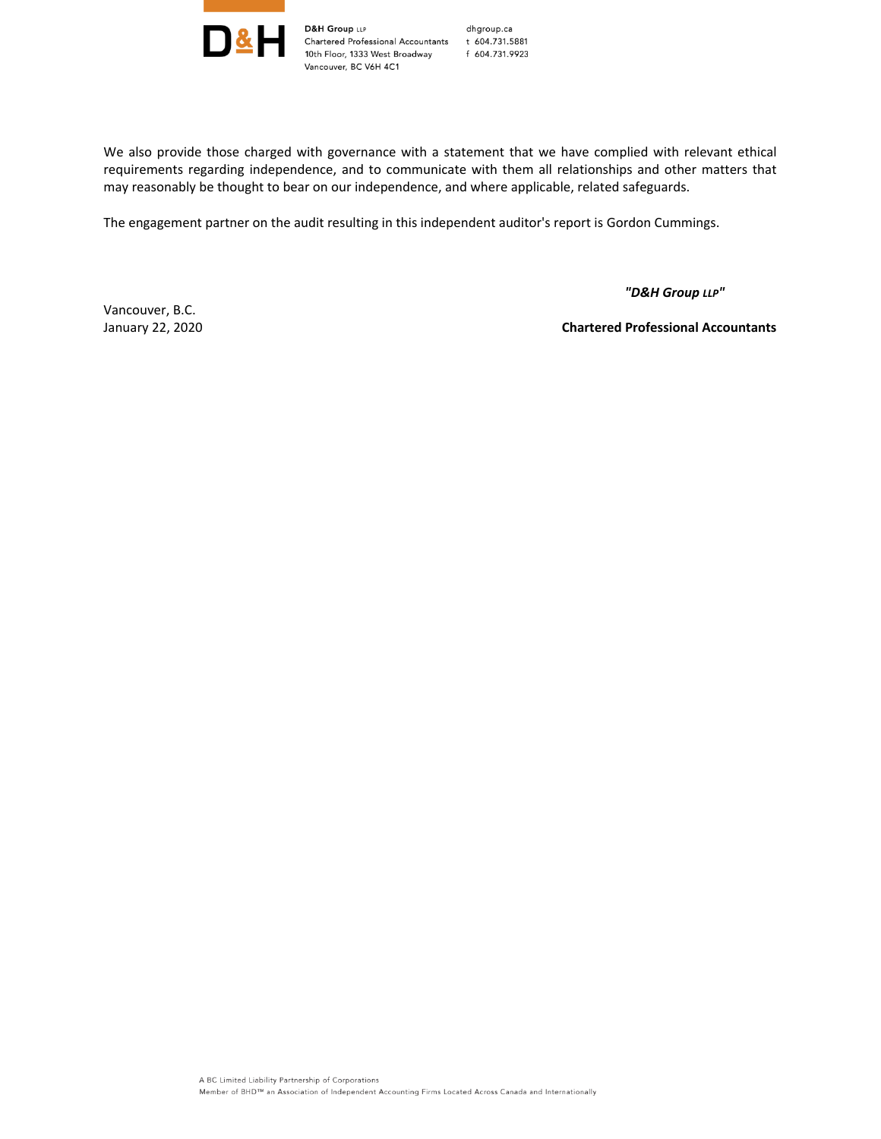

D&H Group LLP Chartered Professional Accountants t 604.731.5881 10th Floor, 1333 West Broadway Vancouver, BC V6H 4C1

dhgroup.ca f 604.731.9923

We also provide those charged with governance with a statement that we have complied with relevant ethical requirements regarding independence, and to communicate with them all relationships and other matters that may reasonably be thought to bear on our independence, and where applicable, related safeguards.

The engagement partner on the audit resulting in this independent auditor's report is Gordon Cummings.

*"D&H Group LLP"*

Vancouver, B.C.

January 22, 2020 **Chartered Professional Accountants**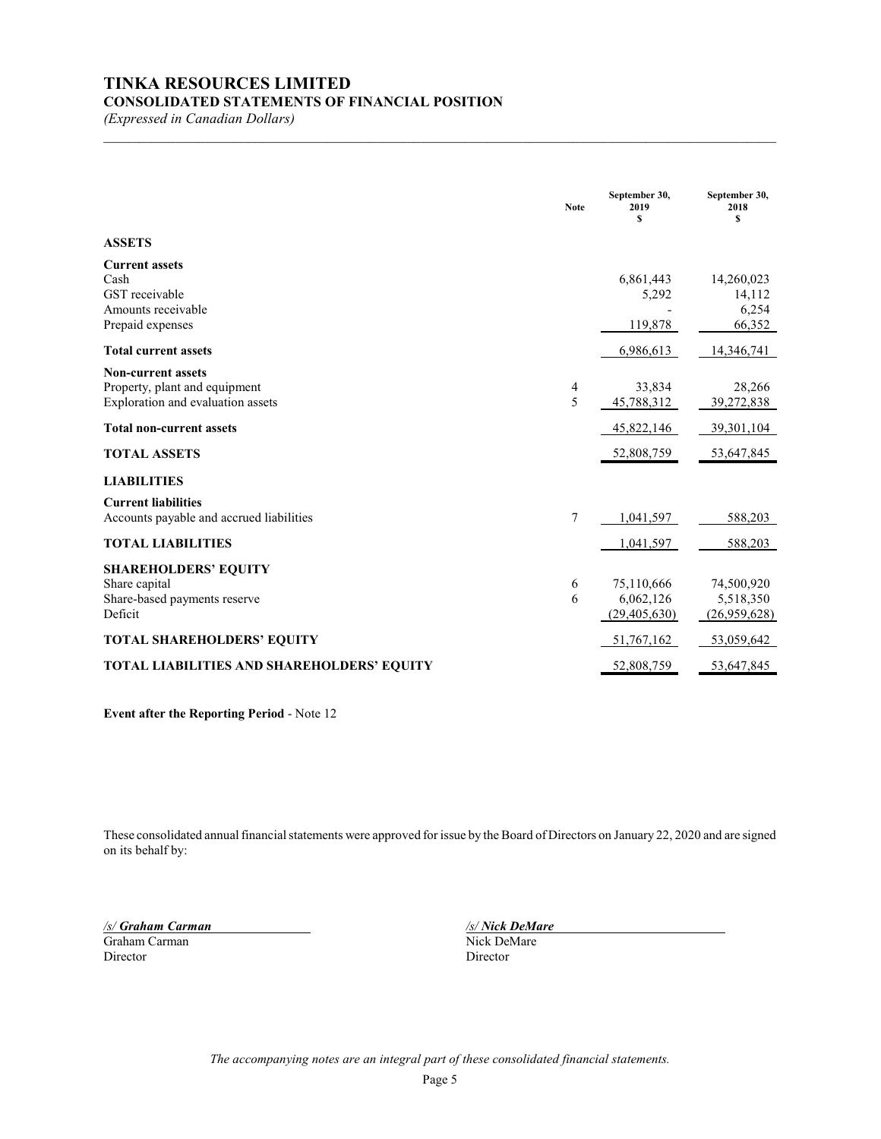# **TINKA RESOURCES LIMITED**

## **CONSOLIDATED STATEMENTS OF FINANCIAL POSITION**

*(Expressed in Canadian Dollars)*

|                                                                                                 | <b>Note</b> | September 30,<br>2019<br>S                | September 30,<br>2018<br>\$             |
|-------------------------------------------------------------------------------------------------|-------------|-------------------------------------------|-----------------------------------------|
| <b>ASSETS</b>                                                                                   |             |                                           |                                         |
| <b>Current assets</b><br>Cash<br>GST receivable<br>Amounts receivable<br>Prepaid expenses       |             | 6,861,443<br>5,292<br>119,878             | 14,260,023<br>14,112<br>6,254<br>66,352 |
| <b>Total current assets</b>                                                                     |             | 6,986,613                                 | 14,346,741                              |
| <b>Non-current assets</b><br>Property, plant and equipment<br>Exploration and evaluation assets | 4<br>5      | 33,834<br>45,788,312                      | 28,266<br>39,272,838                    |
| <b>Total non-current assets</b>                                                                 |             | 45,822,146                                | 39,301,104                              |
| <b>TOTAL ASSETS</b>                                                                             |             | 52,808,759                                | 53,647,845                              |
| <b>LIABILITIES</b>                                                                              |             |                                           |                                         |
| <b>Current liabilities</b><br>Accounts payable and accrued liabilities                          | 7           | 1,041,597                                 | 588,203                                 |
| <b>TOTAL LIABILITIES</b>                                                                        |             | 1,041,597                                 | 588,203                                 |
| <b>SHAREHOLDERS' EQUITY</b><br>Share capital<br>Share-based payments reserve<br>Deficit         | 6<br>6      | 75,110,666<br>6,062,126<br>(29, 405, 630) | 74,500,920<br>5,518,350<br>(26,959,628) |
| <b>TOTAL SHAREHOLDERS' EQUITY</b>                                                               |             | 51,767,162                                | 53,059,642                              |
| TOTAL LIABILITIES AND SHAREHOLDERS' EQUITY                                                      |             | 52,808,759                                | 53,647,845                              |

 $\mathcal{L}_\mathcal{L} = \{ \mathcal{L}_\mathcal{L} = \{ \mathcal{L}_\mathcal{L} = \{ \mathcal{L}_\mathcal{L} = \{ \mathcal{L}_\mathcal{L} = \{ \mathcal{L}_\mathcal{L} = \{ \mathcal{L}_\mathcal{L} = \{ \mathcal{L}_\mathcal{L} = \{ \mathcal{L}_\mathcal{L} = \{ \mathcal{L}_\mathcal{L} = \{ \mathcal{L}_\mathcal{L} = \{ \mathcal{L}_\mathcal{L} = \{ \mathcal{L}_\mathcal{L} = \{ \mathcal{L}_\mathcal{L} = \{ \mathcal{L}_\mathcal{$ 

**Event after the Reporting Period** - Note 12

These consolidated annual financial statements were approved for issue by the Board of Directors on January 22, 2020 and are signed on its behalf by:

*/s/ Graham Carman /s/ Nick DeMare* Graham Carman Director Director

*The accompanying notes are an integral part of these consolidated financial statements.*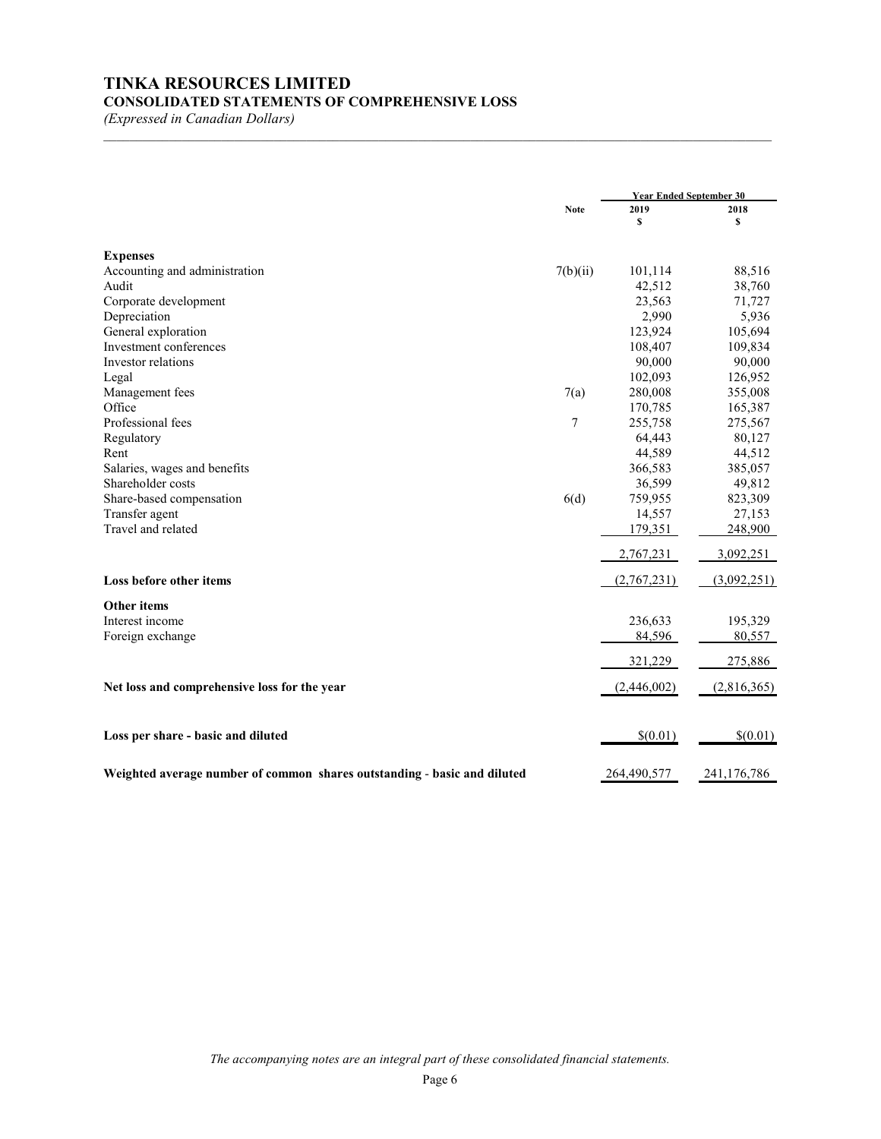## **TINKA RESOURCES LIMITED CONSOLIDATED STATEMENTS OF COMPREHENSIVE LOSS**

*(Expressed in Canadian Dollars)*

|                                                                          |             | <b>Year Ended September 30</b> |             |  |
|--------------------------------------------------------------------------|-------------|--------------------------------|-------------|--|
|                                                                          | <b>Note</b> | 2019<br>\$                     | 2018<br>s   |  |
|                                                                          |             |                                |             |  |
| <b>Expenses</b>                                                          |             |                                |             |  |
| Accounting and administration                                            | 7(b)(ii)    | 101,114                        | 88,516      |  |
| Audit                                                                    |             | 42,512                         | 38,760      |  |
| Corporate development                                                    |             | 23,563                         | 71,727      |  |
| Depreciation                                                             |             | 2,990                          | 5,936       |  |
| General exploration                                                      |             | 123,924                        | 105,694     |  |
| Investment conferences                                                   |             | 108,407                        | 109,834     |  |
| Investor relations                                                       |             | 90,000                         | 90,000      |  |
| Legal                                                                    |             | 102,093                        | 126,952     |  |
| Management fees                                                          | 7(a)        | 280,008                        | 355,008     |  |
| Office                                                                   |             | 170,785                        | 165,387     |  |
| Professional fees                                                        | 7           | 255,758                        | 275,567     |  |
| Regulatory                                                               |             | 64,443                         | 80,127      |  |
| Rent                                                                     |             | 44,589                         | 44,512      |  |
| Salaries, wages and benefits                                             |             | 366,583                        | 385,057     |  |
| Shareholder costs                                                        |             | 36,599                         | 49,812      |  |
| Share-based compensation                                                 | 6(d)        | 759,955                        | 823,309     |  |
| Transfer agent                                                           |             | 14,557                         | 27,153      |  |
| Travel and related                                                       |             | 179,351                        | 248,900     |  |
|                                                                          |             | 2,767,231                      | 3,092,251   |  |
| Loss before other items                                                  |             | (2,767,231)                    | (3,092,251) |  |
| <b>Other items</b>                                                       |             |                                |             |  |
| Interest income                                                          |             | 236,633                        | 195,329     |  |
| Foreign exchange                                                         |             | 84,596                         | 80,557      |  |
|                                                                          |             | 321,229                        | 275,886     |  |
| Net loss and comprehensive loss for the year                             |             | (2,446,002)                    | (2,816,365) |  |
| Loss per share - basic and diluted                                       |             | \$(0.01)                       | \$(0.01)    |  |
| Weighted average number of common shares outstanding - basic and diluted |             | 264,490,577                    | 241,176,786 |  |

 $\mathcal{L}_\text{max} = \mathcal{L}_\text{max} = \mathcal{L}_\text{max} = \mathcal{L}_\text{max} = \mathcal{L}_\text{max} = \mathcal{L}_\text{max} = \mathcal{L}_\text{max} = \mathcal{L}_\text{max} = \mathcal{L}_\text{max} = \mathcal{L}_\text{max} = \mathcal{L}_\text{max} = \mathcal{L}_\text{max} = \mathcal{L}_\text{max} = \mathcal{L}_\text{max} = \mathcal{L}_\text{max} = \mathcal{L}_\text{max} = \mathcal{L}_\text{max} = \mathcal{L}_\text{max} = \mathcal{$ 

*The accompanying notes are an integral part of these consolidated financial statements.*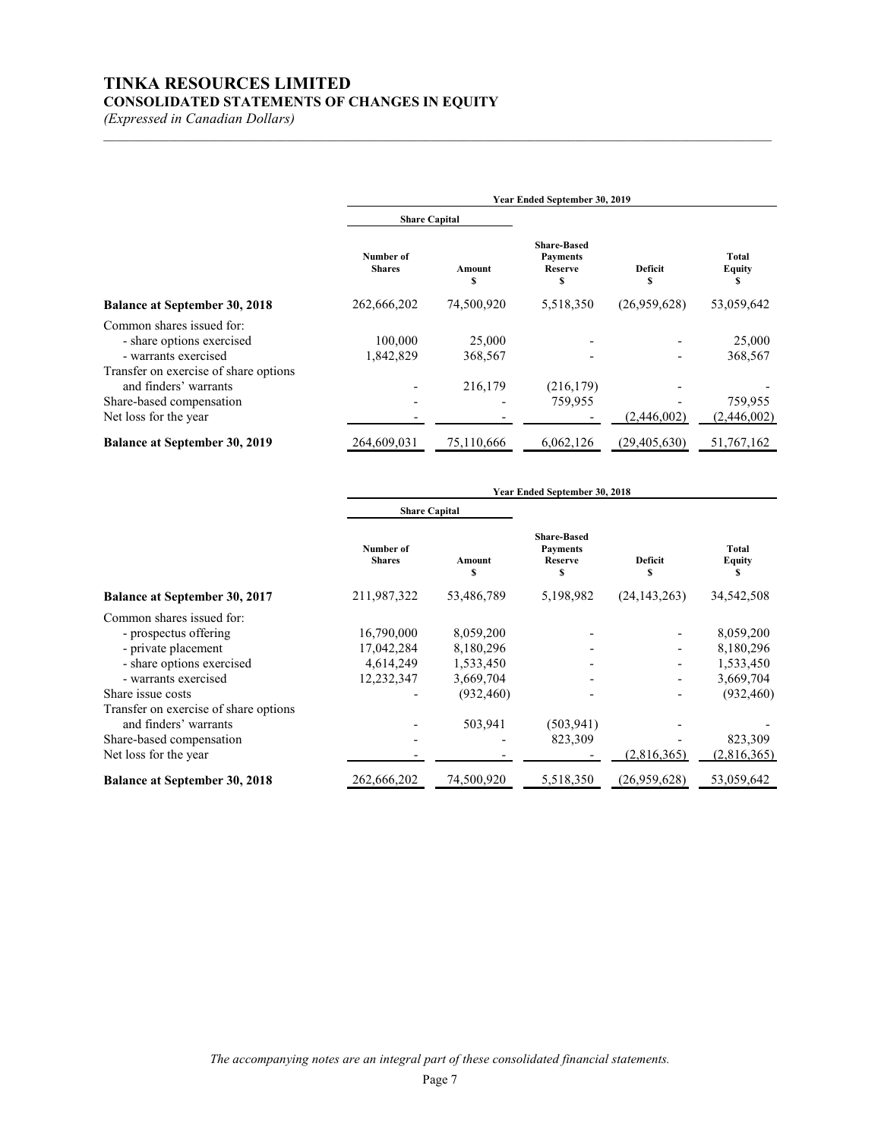## **TINKA RESOURCES LIMITED CONSOLIDATED STATEMENTS OF CHANGES IN EQUITY**

*(Expressed in Canadian Dollars)*

|                                       | Year Ended September 30, 2019 |              |                                                                  |                |                             |
|---------------------------------------|-------------------------------|--------------|------------------------------------------------------------------|----------------|-----------------------------|
|                                       | <b>Share Capital</b>          |              |                                                                  |                |                             |
|                                       | Number of<br><b>Shares</b>    | Amount<br>\$ | <b>Share-Based</b><br><b>Payments</b><br>Deficit<br>Reserve<br>S |                | Total<br><b>Equity</b><br>S |
| <b>Balance at September 30, 2018</b>  | 262,666,202                   | 74,500,920   | 5,518,350                                                        | (26,959,628)   | 53,059,642                  |
| Common shares issued for:             |                               |              |                                                                  |                |                             |
| - share options exercised             | 100,000                       | 25,000       |                                                                  |                | 25,000                      |
| - warrants exercised                  | 1,842,829                     | 368,567      |                                                                  |                | 368,567                     |
| Transfer on exercise of share options |                               |              |                                                                  |                |                             |
| and finders' warrants                 |                               | 216,179      | (216, 179)                                                       |                |                             |
| Share-based compensation              |                               |              | 759,955                                                          |                | 759,955                     |
| Net loss for the year                 |                               |              |                                                                  | (2,446,002)    | (2,446,002)                 |
| <b>Balance at September 30, 2019</b>  | 264,609,031                   | 75.110.666   | 6.062.126                                                        | (29, 405, 630) | 51,767,162                  |

 $\mathcal{L}_\text{max} = \mathcal{L}_\text{max} = \mathcal{L}_\text{max} = \mathcal{L}_\text{max} = \mathcal{L}_\text{max} = \mathcal{L}_\text{max} = \mathcal{L}_\text{max} = \mathcal{L}_\text{max} = \mathcal{L}_\text{max} = \mathcal{L}_\text{max} = \mathcal{L}_\text{max} = \mathcal{L}_\text{max} = \mathcal{L}_\text{max} = \mathcal{L}_\text{max} = \mathcal{L}_\text{max} = \mathcal{L}_\text{max} = \mathcal{L}_\text{max} = \mathcal{L}_\text{max} = \mathcal{$ 

|                                                                                                                                                                                                                       | Year Ended September 30, 2018                       |                                                                           |                                                              |                |                                                                |
|-----------------------------------------------------------------------------------------------------------------------------------------------------------------------------------------------------------------------|-----------------------------------------------------|---------------------------------------------------------------------------|--------------------------------------------------------------|----------------|----------------------------------------------------------------|
|                                                                                                                                                                                                                       | <b>Share Capital</b>                                |                                                                           |                                                              |                |                                                                |
|                                                                                                                                                                                                                       | Number of<br><b>Shares</b>                          | Amount<br>s                                                               | <b>Share-Based</b><br><b>Payments</b><br><b>Reserve</b><br>s | <b>Deficit</b> | <b>Total</b><br><b>Equity</b>                                  |
| <b>Balance at September 30, 2017</b>                                                                                                                                                                                  | 211,987,322                                         | 53,486,789                                                                | 5,198,982                                                    | (24, 143, 263) | 34,542,508                                                     |
| Common shares issued for:<br>- prospectus offering<br>- private placement<br>- share options exercised<br>- warrants exercised<br>Share issue costs<br>Transfer on exercise of share options<br>and finders' warrants | 16,790,000<br>17,042,284<br>4,614,249<br>12,232,347 | 8,059,200<br>8,180,296<br>1,533,450<br>3,669,704<br>(932, 460)<br>503,941 | (503, 941)                                                   |                | 8,059,200<br>8,180,296<br>1,533,450<br>3,669,704<br>(932, 460) |
| Share-based compensation<br>Net loss for the year                                                                                                                                                                     |                                                     |                                                                           | 823,309                                                      | (2,816,365)    | 823,309<br>(2,816,365)                                         |
| <b>Balance at September 30, 2018</b>                                                                                                                                                                                  | 262,666,202                                         | 74,500,920                                                                | 5,518,350                                                    | (26,959,628)   | 53,059,642                                                     |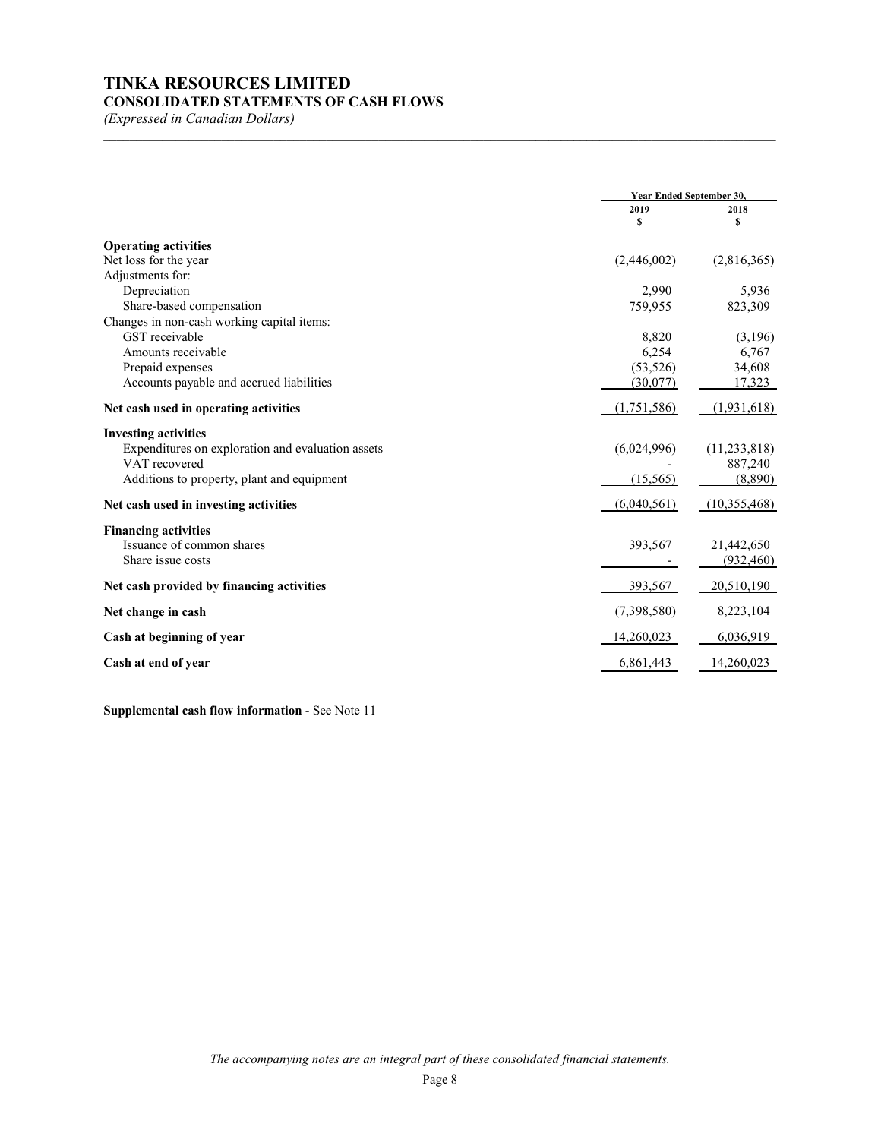# **TINKA RESOURCES LIMITED**

## **CONSOLIDATED STATEMENTS OF CASH FLOWS**

*(Expressed in Canadian Dollars)*

|                                                   | <b>Year Ended September 30.</b> |                |
|---------------------------------------------------|---------------------------------|----------------|
|                                                   | 2019                            | 2018           |
|                                                   | \$                              | \$             |
| <b>Operating activities</b>                       |                                 |                |
| Net loss for the year                             | (2,446,002)                     | (2,816,365)    |
| Adjustments for:                                  |                                 |                |
| Depreciation                                      | 2,990                           | 5,936          |
| Share-based compensation                          | 759,955                         | 823,309        |
| Changes in non-cash working capital items:        |                                 |                |
| GST receivable                                    | 8,820                           | (3,196)        |
| Amounts receivable                                | 6,254                           | 6,767          |
| Prepaid expenses                                  | (53, 526)                       | 34,608         |
| Accounts payable and accrued liabilities          | (30,077)                        | 17,323         |
| Net cash used in operating activities             | (1,751,586)                     | (1,931,618)    |
| <b>Investing activities</b>                       |                                 |                |
| Expenditures on exploration and evaluation assets | (6,024,996)                     | (11, 233, 818) |
| VAT recovered                                     |                                 | 887,240        |
| Additions to property, plant and equipment        | (15, 565)                       | (8,890)        |
| Net cash used in investing activities             | (6,040,561)                     | (10,355,468)   |
| <b>Financing activities</b>                       |                                 |                |
| Issuance of common shares                         | 393,567                         | 21,442,650     |
| Share issue costs                                 |                                 | (932, 460)     |
| Net cash provided by financing activities         | 393,567                         | 20,510,190     |
| Net change in cash                                | (7,398,580)                     | 8,223,104      |
| Cash at beginning of year                         | 14,260,023                      | 6,036,919      |
| Cash at end of year                               | 6,861,443                       | 14,260,023     |

\_\_\_\_\_\_\_\_\_\_\_\_\_\_\_\_\_\_\_\_\_\_\_\_\_\_\_\_\_\_\_\_\_\_\_\_\_\_\_\_\_\_\_\_\_\_\_\_\_\_\_\_\_\_\_\_\_\_\_\_\_\_\_\_\_\_\_\_\_\_\_\_\_\_\_\_\_\_\_\_\_\_\_\_\_\_\_\_\_\_\_\_\_\_\_\_\_\_\_\_\_\_\_

**Supplemental cash flow information** - See Note 11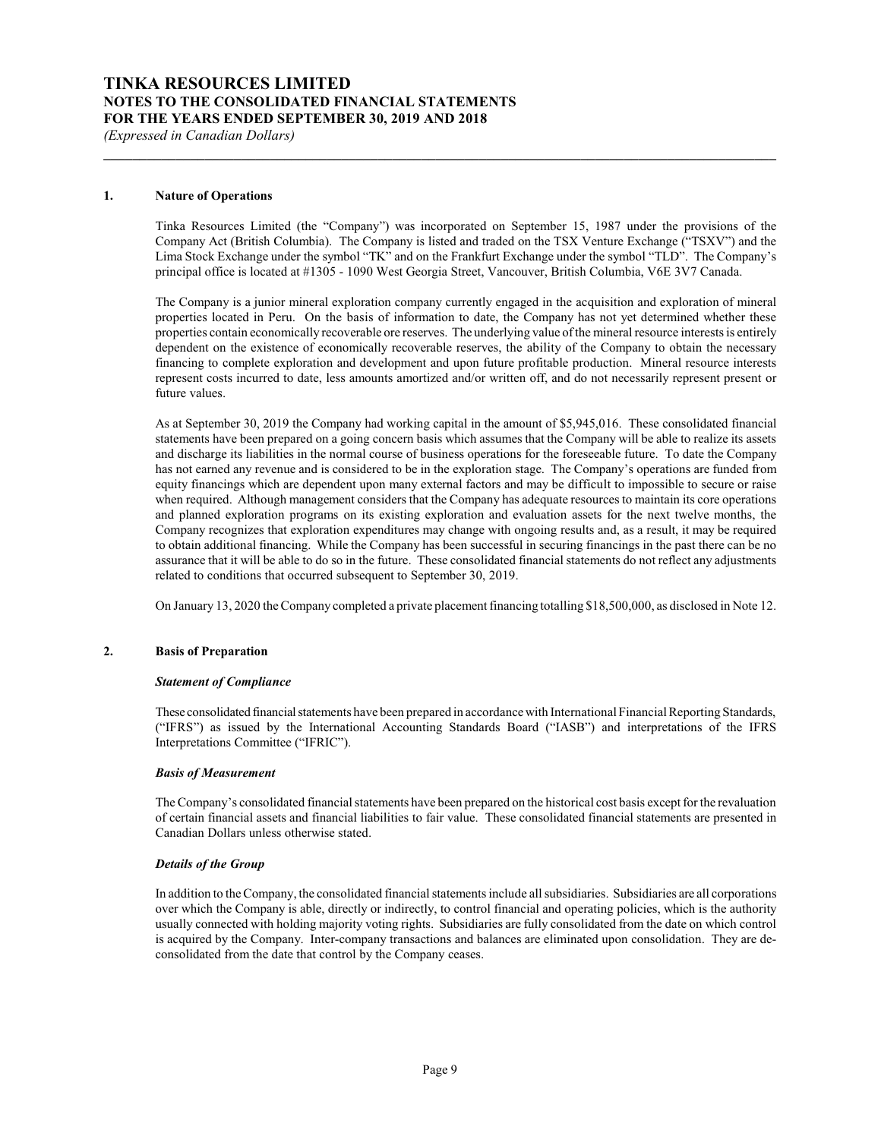## **TINKA RESOURCES LIMITED NOTES TO THE CONSOLIDATED FINANCIAL STATEMENTS FOR THE YEARS ENDED SEPTEMBER 30, 2019 AND 2018**

*(Expressed in Canadian Dollars)*

#### **1. Nature of Operations**

Tinka Resources Limited (the "Company") was incorporated on September 15, 1987 under the provisions of the Company Act (British Columbia). The Company is listed and traded on the TSX Venture Exchange ("TSXV") and the Lima Stock Exchange under the symbol "TK" and on the Frankfurt Exchange under the symbol "TLD". The Company's principal office is located at #1305 - 1090 West Georgia Street, Vancouver, British Columbia, V6E 3V7 Canada.

**\_\_\_\_\_\_\_\_\_\_\_\_\_\_\_\_\_\_\_\_\_\_\_\_\_\_\_\_\_\_\_\_\_\_\_\_\_\_\_\_\_\_\_\_\_\_\_\_\_\_\_\_\_\_\_\_\_\_\_\_\_\_\_\_\_\_\_\_\_\_\_\_\_\_\_\_\_\_\_\_\_\_\_\_\_\_\_\_\_\_\_\_\_**

The Company is a junior mineral exploration company currently engaged in the acquisition and exploration of mineral properties located in Peru. On the basis of information to date, the Company has not yet determined whether these properties contain economically recoverable ore reserves. The underlying value of the mineral resource interests is entirely dependent on the existence of economically recoverable reserves, the ability of the Company to obtain the necessary financing to complete exploration and development and upon future profitable production. Mineral resource interests represent costs incurred to date, less amounts amortized and/or written off, and do not necessarily represent present or future values.

As at September 30, 2019 the Company had working capital in the amount of \$5,945,016. These consolidated financial statements have been prepared on a going concern basis which assumes that the Company will be able to realize its assets and discharge its liabilities in the normal course of business operations for the foreseeable future. To date the Company has not earned any revenue and is considered to be in the exploration stage. The Company's operations are funded from equity financings which are dependent upon many external factors and may be difficult to impossible to secure or raise when required. Although management considers that the Company has adequate resources to maintain its core operations and planned exploration programs on its existing exploration and evaluation assets for the next twelve months, the Company recognizes that exploration expenditures may change with ongoing results and, as a result, it may be required to obtain additional financing. While the Company has been successful in securing financings in the past there can be no assurance that it will be able to do so in the future. These consolidated financial statements do not reflect any adjustments related to conditions that occurred subsequent to September 30, 2019.

On January 13, 2020 the Company completed a private placement financing totalling \$18,500,000, as disclosed in Note 12.

#### **2. Basis of Preparation**

#### *Statement of Compliance*

These consolidated financial statements have been prepared in accordance with International Financial Reporting Standards, ("IFRS") as issued by the International Accounting Standards Board ("IASB") and interpretations of the IFRS Interpretations Committee ("IFRIC").

#### *Basis of Measurement*

The Company's consolidated financial statements have been prepared on the historical cost basis except for the revaluation of certain financial assets and financial liabilities to fair value. These consolidated financial statements are presented in Canadian Dollars unless otherwise stated.

#### *Details of the Group*

In addition to the Company, the consolidated financial statements include all subsidiaries. Subsidiaries are all corporations over which the Company is able, directly or indirectly, to control financial and operating policies, which is the authority usually connected with holding majority voting rights. Subsidiaries are fully consolidated from the date on which control is acquired by the Company. Inter-company transactions and balances are eliminated upon consolidation. They are deconsolidated from the date that control by the Company ceases.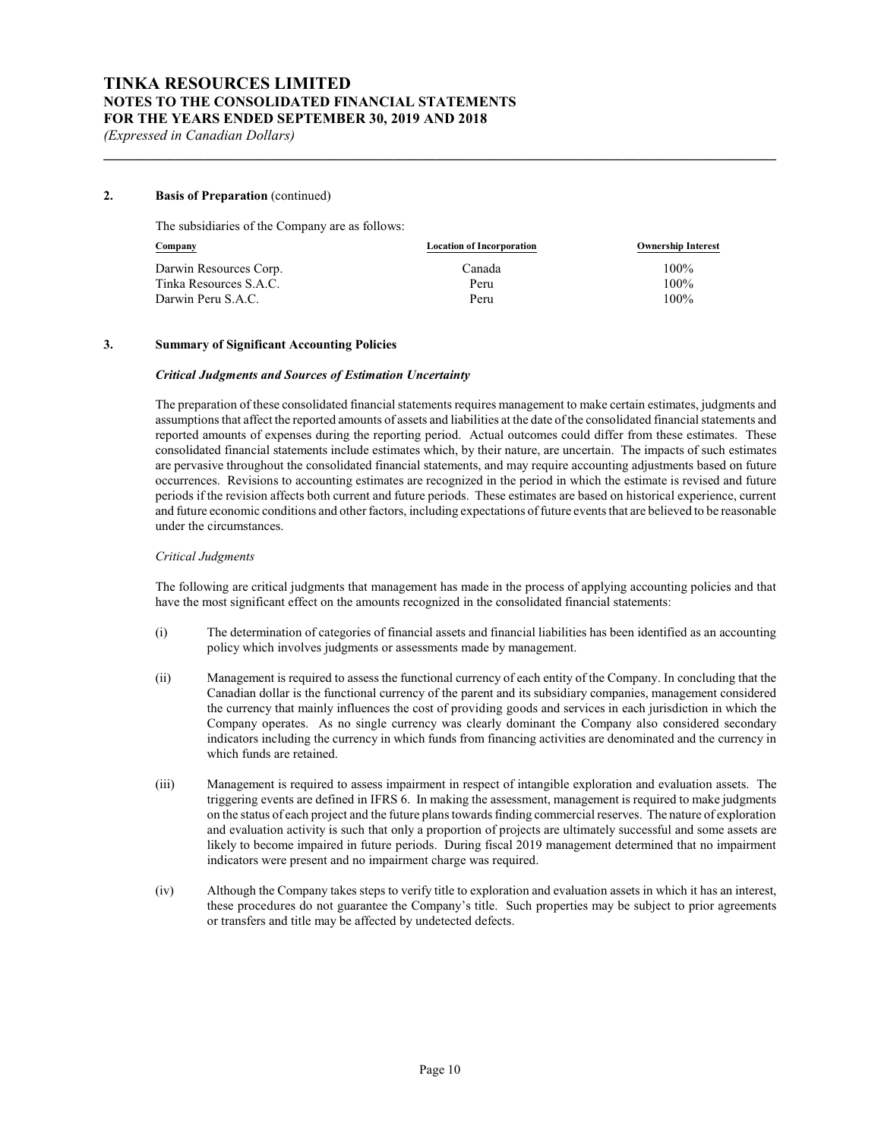#### **2. Basis of Preparation** (continued)

The subsidiaries of the Company are as follows:

| Company                | <b>Location of Incorporation</b> | <b>Ownership Interest</b> |
|------------------------|----------------------------------|---------------------------|
| Darwin Resources Corp. | Canada                           | $100\%$                   |
| Tinka Resources S.A.C. | Peru                             | $100\%$                   |
| Darwin Peru S.A.C.     | Peru                             | $100\%$                   |

**\_\_\_\_\_\_\_\_\_\_\_\_\_\_\_\_\_\_\_\_\_\_\_\_\_\_\_\_\_\_\_\_\_\_\_\_\_\_\_\_\_\_\_\_\_\_\_\_\_\_\_\_\_\_\_\_\_\_\_\_\_\_\_\_\_\_\_\_\_\_\_\_\_\_\_\_\_\_\_\_\_\_\_\_\_\_\_\_\_\_\_\_\_**

#### **3. Summary of Significant Accounting Policies**

#### *Critical Judgments and Sources of Estimation Uncertainty*

The preparation of these consolidated financial statements requires management to make certain estimates, judgments and assumptions that affect the reported amounts of assets and liabilities at the date of the consolidated financial statements and reported amounts of expenses during the reporting period. Actual outcomes could differ from these estimates. These consolidated financial statements include estimates which, by their nature, are uncertain. The impacts of such estimates are pervasive throughout the consolidated financial statements, and may require accounting adjustments based on future occurrences. Revisions to accounting estimates are recognized in the period in which the estimate is revised and future periods if the revision affects both current and future periods. These estimates are based on historical experience, current and future economic conditions and other factors, including expectations of future events that are believed to be reasonable under the circumstances.

#### *Critical Judgments*

The following are critical judgments that management has made in the process of applying accounting policies and that have the most significant effect on the amounts recognized in the consolidated financial statements:

- (i) The determination of categories of financial assets and financial liabilities has been identified as an accounting policy which involves judgments or assessments made by management.
- (ii) Management is required to assess the functional currency of each entity of the Company. In concluding that the Canadian dollar is the functional currency of the parent and its subsidiary companies, management considered the currency that mainly influences the cost of providing goods and services in each jurisdiction in which the Company operates. As no single currency was clearly dominant the Company also considered secondary indicators including the currency in which funds from financing activities are denominated and the currency in which funds are retained.
- (iii) Management is required to assess impairment in respect of intangible exploration and evaluation assets. The triggering events are defined in IFRS 6. In making the assessment, management is required to make judgments on the status of each project and the future plans towards finding commercial reserves. The nature of exploration and evaluation activity is such that only a proportion of projects are ultimately successful and some assets are likely to become impaired in future periods. During fiscal 2019 management determined that no impairment indicators were present and no impairment charge was required.
- (iv) Although the Company takes steps to verify title to exploration and evaluation assets in which it has an interest, these procedures do not guarantee the Company's title. Such properties may be subject to prior agreements or transfers and title may be affected by undetected defects.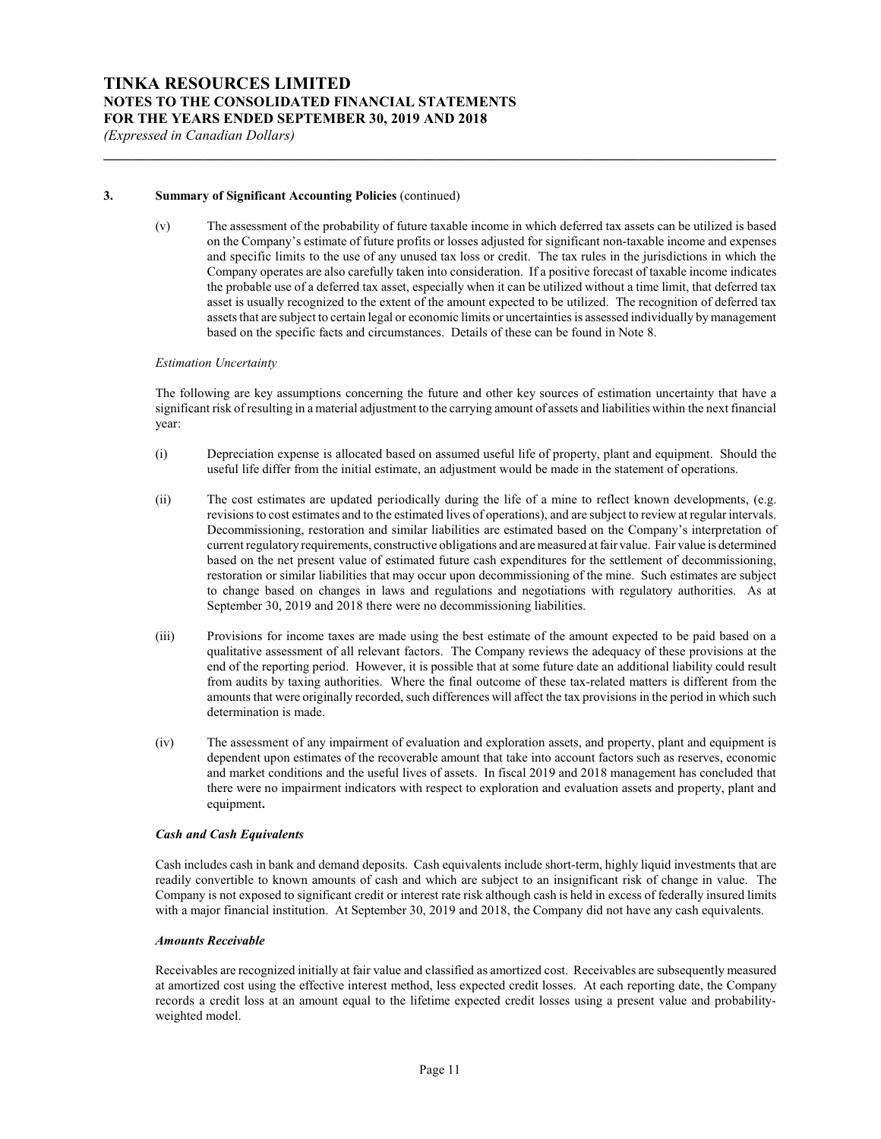#### **3. Summary of Significant Accounting Policies** (continued)

(v) The assessment of the probability of future taxable income in which deferred tax assets can be utilized is based on the Company's estimate of future profits or losses adjusted for significant non-taxable income and expenses and specific limits to the use of any unused tax loss or credit. The tax rules in the jurisdictions in which the Company operates are also carefully taken into consideration. If a positive forecast of taxable income indicates the probable use of a deferred tax asset, especially when it can be utilized without a time limit, that deferred tax asset is usually recognized to the extent of the amount expected to be utilized. The recognition of deferred tax assets that are subject to certain legal or economic limits or uncertainties is assessed individually by management based on the specific facts and circumstances. Details of these can be found in Note 8.

**\_\_\_\_\_\_\_\_\_\_\_\_\_\_\_\_\_\_\_\_\_\_\_\_\_\_\_\_\_\_\_\_\_\_\_\_\_\_\_\_\_\_\_\_\_\_\_\_\_\_\_\_\_\_\_\_\_\_\_\_\_\_\_\_\_\_\_\_\_\_\_\_\_\_\_\_\_\_\_\_\_\_\_\_\_\_\_\_\_\_\_\_\_**

#### *Estimation Uncertainty*

The following are key assumptions concerning the future and other key sources of estimation uncertainty that have a significant risk of resulting in a material adjustment to the carrying amount of assets and liabilities within the next financial year:

- (i) Depreciation expense is allocated based on assumed useful life of property, plant and equipment. Should the useful life differ from the initial estimate, an adjustment would be made in the statement of operations.
- (ii) The cost estimates are updated periodically during the life of a mine to reflect known developments, (e.g. revisions to cost estimates and to the estimated lives of operations), and are subject to review at regular intervals. Decommissioning, restoration and similar liabilities are estimated based on the Company's interpretation of current regulatory requirements, constructive obligations and are measured at fair value. Fair value is determined based on the net present value of estimated future cash expenditures for the settlement of decommissioning, restoration or similar liabilities that may occur upon decommissioning of the mine. Such estimates are subject to change based on changes in laws and regulations and negotiations with regulatory authorities. As at September 30, 2019 and 2018 there were no decommissioning liabilities.
- (iii) Provisions for income taxes are made using the best estimate of the amount expected to be paid based on a qualitative assessment of all relevant factors. The Company reviews the adequacy of these provisions at the end of the reporting period. However, it is possible that at some future date an additional liability could result from audits by taxing authorities. Where the final outcome of these tax-related matters is different from the amounts that were originally recorded, such differences will affect the tax provisions in the period in which such determination is made.
- (iv) The assessment of any impairment of evaluation and exploration assets, and property, plant and equipment is dependent upon estimates of the recoverable amount that take into account factors such as reserves, economic and market conditions and the useful lives of assets. In fiscal 2019 and 2018 management has concluded that there were no impairment indicators with respect to exploration and evaluation assets and property, plant and equipment**.**

#### *Cash and Cash Equivalents*

Cash includes cash in bank and demand deposits. Cash equivalents include short-term, highly liquid investments that are readily convertible to known amounts of cash and which are subject to an insignificant risk of change in value. The Company is not exposed to significant credit or interest rate risk although cash is held in excess of federally insured limits with a major financial institution. At September 30, 2019 and 2018, the Company did not have any cash equivalents.

#### *Amounts Receivable*

Receivables are recognized initially at fair value and classified as amortized cost. Receivables are subsequently measured at amortized cost using the effective interest method, less expected credit losses. At each reporting date, the Company records a credit loss at an amount equal to the lifetime expected credit losses using a present value and probabilityweighted model.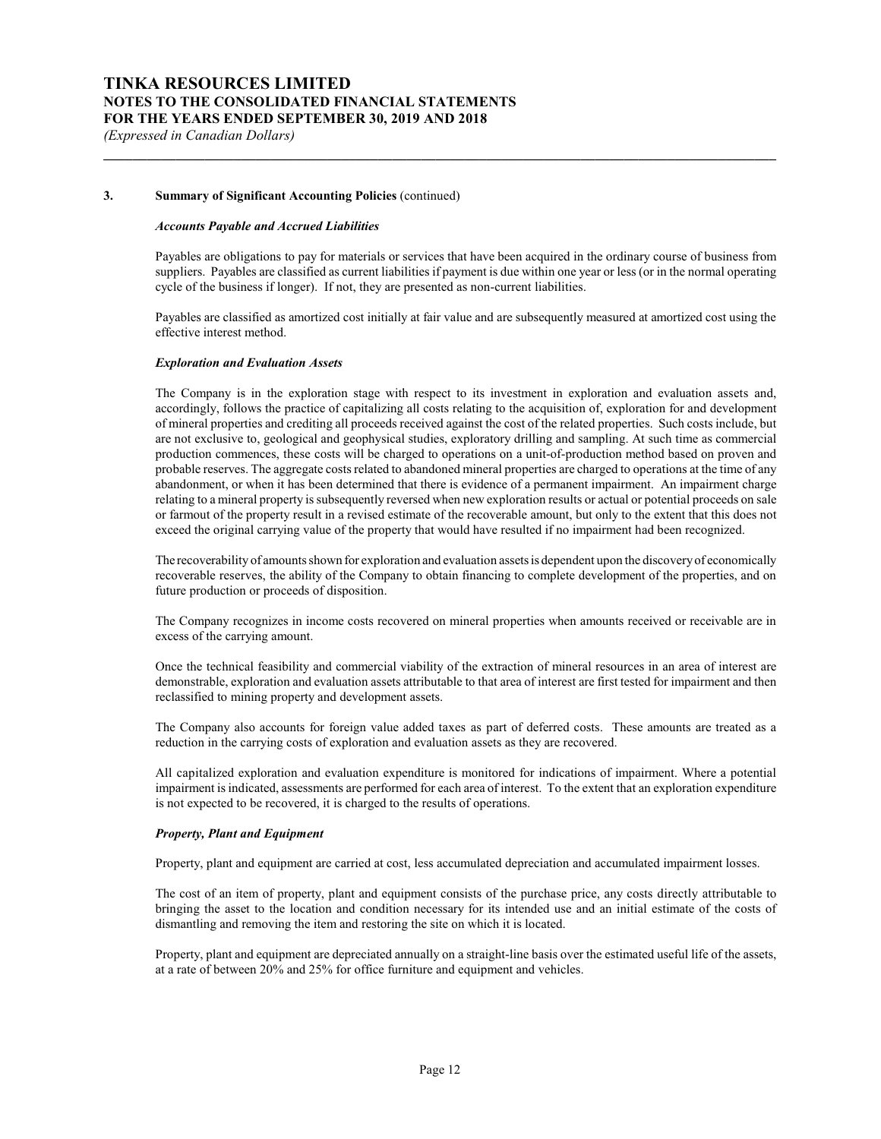#### **3. Summary of Significant Accounting Policies** (continued)

#### *Accounts Payable and Accrued Liabilities*

Payables are obligations to pay for materials or services that have been acquired in the ordinary course of business from suppliers. Payables are classified as current liabilities if payment is due within one year or less (or in the normal operating cycle of the business if longer). If not, they are presented as non-current liabilities.

**\_\_\_\_\_\_\_\_\_\_\_\_\_\_\_\_\_\_\_\_\_\_\_\_\_\_\_\_\_\_\_\_\_\_\_\_\_\_\_\_\_\_\_\_\_\_\_\_\_\_\_\_\_\_\_\_\_\_\_\_\_\_\_\_\_\_\_\_\_\_\_\_\_\_\_\_\_\_\_\_\_\_\_\_\_\_\_\_\_\_\_\_\_**

Payables are classified as amortized cost initially at fair value and are subsequently measured at amortized cost using the effective interest method.

#### *Exploration and Evaluation Assets*

The Company is in the exploration stage with respect to its investment in exploration and evaluation assets and, accordingly, follows the practice of capitalizing all costs relating to the acquisition of, exploration for and development of mineral properties and crediting all proceeds received against the cost of the related properties. Such costs include, but are not exclusive to, geological and geophysical studies, exploratory drilling and sampling. At such time as commercial production commences, these costs will be charged to operations on a unit-of-production method based on proven and probable reserves. The aggregate costs related to abandoned mineral properties are charged to operations at the time of any abandonment, or when it has been determined that there is evidence of a permanent impairment. An impairment charge relating to a mineral property is subsequently reversed when new exploration results or actual or potential proceeds on sale or farmout of the property result in a revised estimate of the recoverable amount, but only to the extent that this does not exceed the original carrying value of the property that would have resulted if no impairment had been recognized.

The recoverability of amounts shown for exploration and evaluation assets is dependent upon the discovery of economically recoverable reserves, the ability of the Company to obtain financing to complete development of the properties, and on future production or proceeds of disposition.

The Company recognizes in income costs recovered on mineral properties when amounts received or receivable are in excess of the carrying amount.

Once the technical feasibility and commercial viability of the extraction of mineral resources in an area of interest are demonstrable, exploration and evaluation assets attributable to that area of interest are first tested for impairment and then reclassified to mining property and development assets.

The Company also accounts for foreign value added taxes as part of deferred costs. These amounts are treated as a reduction in the carrying costs of exploration and evaluation assets as they are recovered.

All capitalized exploration and evaluation expenditure is monitored for indications of impairment. Where a potential impairment is indicated, assessments are performed for each area of interest. To the extent that an exploration expenditure is not expected to be recovered, it is charged to the results of operations.

#### *Property, Plant and Equipment*

Property, plant and equipment are carried at cost, less accumulated depreciation and accumulated impairment losses.

The cost of an item of property, plant and equipment consists of the purchase price, any costs directly attributable to bringing the asset to the location and condition necessary for its intended use and an initial estimate of the costs of dismantling and removing the item and restoring the site on which it is located.

Property, plant and equipment are depreciated annually on a straight-line basis over the estimated useful life of the assets, at a rate of between 20% and 25% for office furniture and equipment and vehicles.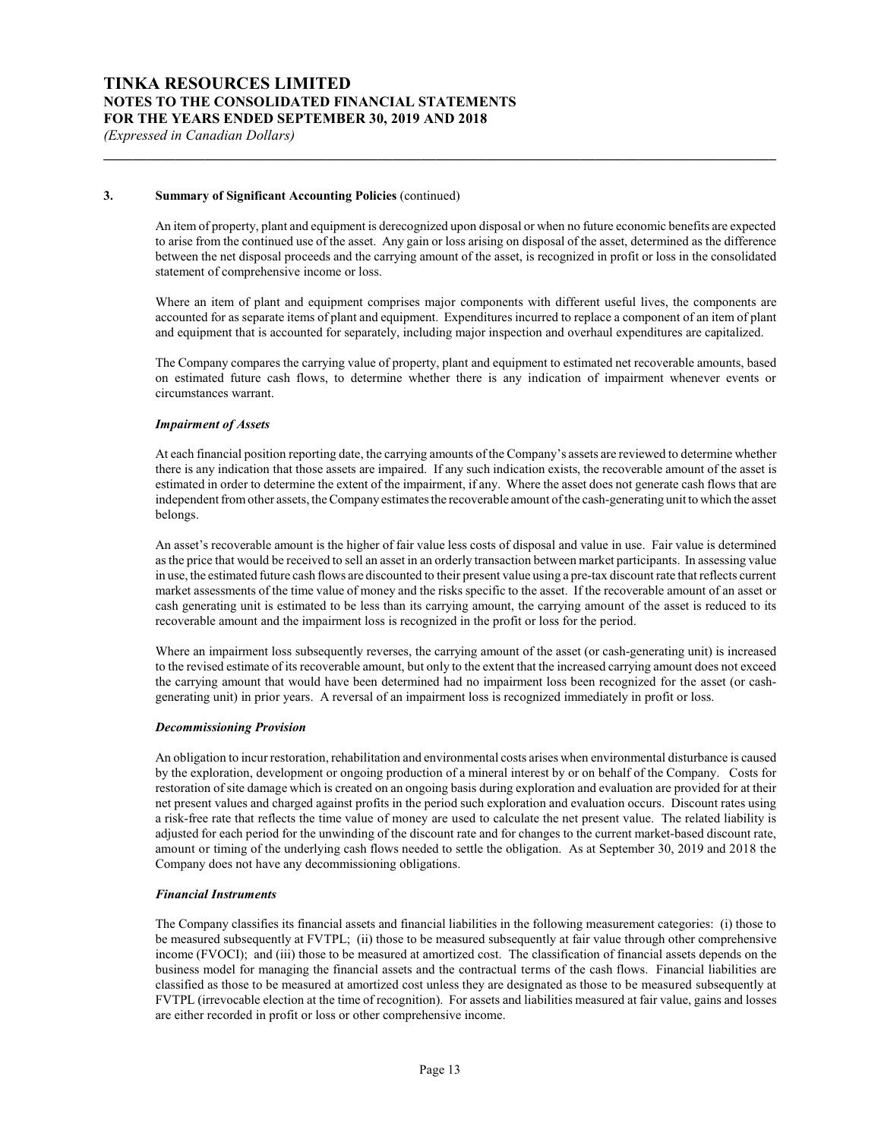#### **3. Summary of Significant Accounting Policies** (continued)

An item of property, plant and equipment is derecognized upon disposal or when no future economic benefits are expected to arise from the continued use of the asset. Any gain or loss arising on disposal of the asset, determined as the difference between the net disposal proceeds and the carrying amount of the asset, is recognized in profit or loss in the consolidated statement of comprehensive income or loss.

**\_\_\_\_\_\_\_\_\_\_\_\_\_\_\_\_\_\_\_\_\_\_\_\_\_\_\_\_\_\_\_\_\_\_\_\_\_\_\_\_\_\_\_\_\_\_\_\_\_\_\_\_\_\_\_\_\_\_\_\_\_\_\_\_\_\_\_\_\_\_\_\_\_\_\_\_\_\_\_\_\_\_\_\_\_\_\_\_\_\_\_\_\_**

Where an item of plant and equipment comprises major components with different useful lives, the components are accounted for as separate items of plant and equipment. Expenditures incurred to replace a component of an item of plant and equipment that is accounted for separately, including major inspection and overhaul expenditures are capitalized.

The Company compares the carrying value of property, plant and equipment to estimated net recoverable amounts, based on estimated future cash flows, to determine whether there is any indication of impairment whenever events or circumstances warrant.

#### *Impairment of Assets*

At each financial position reporting date, the carrying amounts of the Company's assets are reviewed to determine whether there is any indication that those assets are impaired. If any such indication exists, the recoverable amount of the asset is estimated in order to determine the extent of the impairment, if any. Where the asset does not generate cash flows that are independent from other assets, the Company estimates the recoverable amount of the cash-generating unit to which the asset belongs.

An asset's recoverable amount is the higher of fair value less costs of disposal and value in use. Fair value is determined as the price that would be received to sell an asset in an orderly transaction between market participants. In assessing value in use, the estimated future cash flows are discounted to their present value using a pre-tax discount rate that reflects current market assessments of the time value of money and the risks specific to the asset. If the recoverable amount of an asset or cash generating unit is estimated to be less than its carrying amount, the carrying amount of the asset is reduced to its recoverable amount and the impairment loss is recognized in the profit or loss for the period.

Where an impairment loss subsequently reverses, the carrying amount of the asset (or cash-generating unit) is increased to the revised estimate of its recoverable amount, but only to the extent that the increased carrying amount does not exceed the carrying amount that would have been determined had no impairment loss been recognized for the asset (or cashgenerating unit) in prior years. A reversal of an impairment loss is recognized immediately in profit or loss.

#### *Decommissioning Provision*

An obligation to incur restoration, rehabilitation and environmental costs arises when environmental disturbance is caused by the exploration, development or ongoing production of a mineral interest by or on behalf of the Company. Costs for restoration of site damage which is created on an ongoing basis during exploration and evaluation are provided for at their net present values and charged against profits in the period such exploration and evaluation occurs. Discount rates using a risk-free rate that reflects the time value of money are used to calculate the net present value. The related liability is adjusted for each period for the unwinding of the discount rate and for changes to the current market-based discount rate, amount or timing of the underlying cash flows needed to settle the obligation. As at September 30, 2019 and 2018 the Company does not have any decommissioning obligations.

#### *Financial Instruments*

The Company classifies its financial assets and financial liabilities in the following measurement categories: (i) those to be measured subsequently at FVTPL; (ii) those to be measured subsequently at fair value through other comprehensive income (FVOCI); and (iii) those to be measured at amortized cost. The classification of financial assets depends on the business model for managing the financial assets and the contractual terms of the cash flows. Financial liabilities are classified as those to be measured at amortized cost unless they are designated as those to be measured subsequently at FVTPL (irrevocable election at the time of recognition). For assets and liabilities measured at fair value, gains and losses are either recorded in profit or loss or other comprehensive income.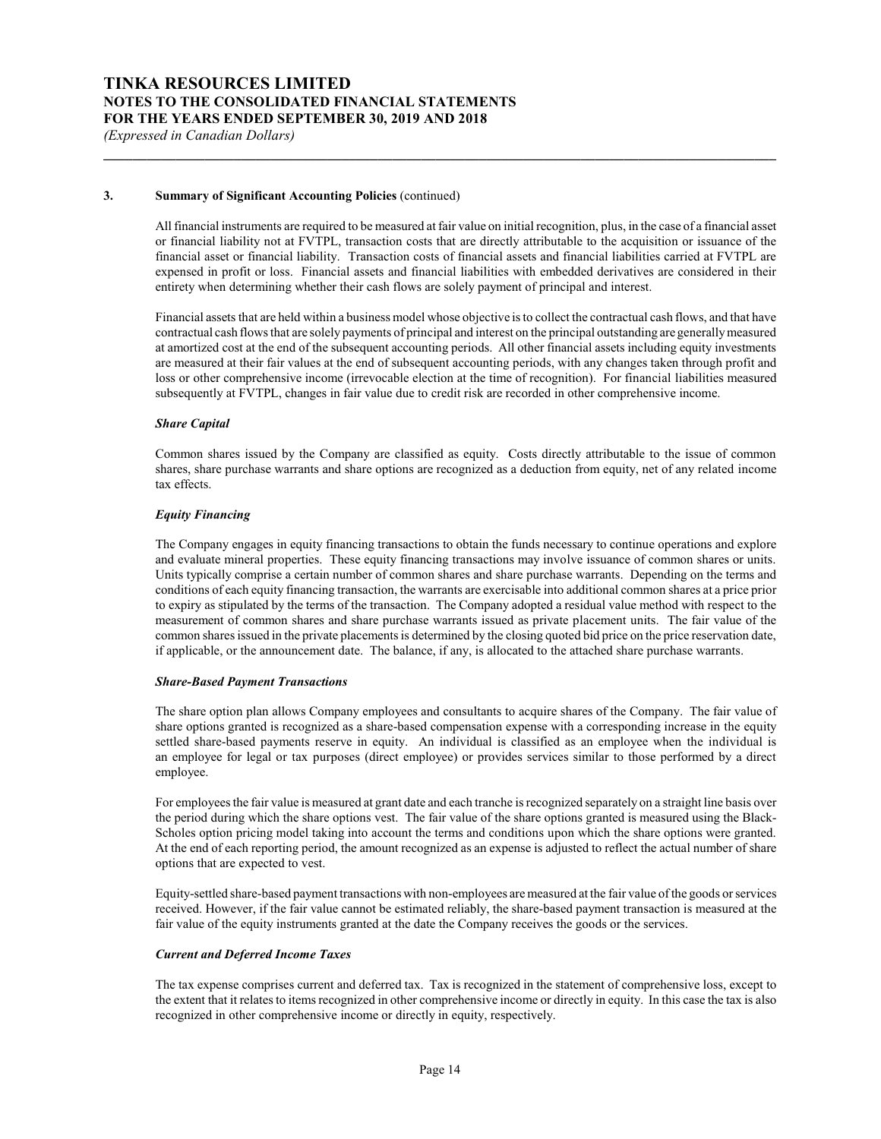## **TINKA RESOURCES LIMITED NOTES TO THE CONSOLIDATED FINANCIAL STATEMENTS FOR THE YEARS ENDED SEPTEMBER 30, 2019 AND 2018**

*(Expressed in Canadian Dollars)*

#### **3. Summary of Significant Accounting Policies** (continued)

All financial instruments are required to be measured at fair value on initial recognition, plus, in the case of a financial asset or financial liability not at FVTPL, transaction costs that are directly attributable to the acquisition or issuance of the financial asset or financial liability. Transaction costs of financial assets and financial liabilities carried at FVTPL are expensed in profit or loss. Financial assets and financial liabilities with embedded derivatives are considered in their entirety when determining whether their cash flows are solely payment of principal and interest.

**\_\_\_\_\_\_\_\_\_\_\_\_\_\_\_\_\_\_\_\_\_\_\_\_\_\_\_\_\_\_\_\_\_\_\_\_\_\_\_\_\_\_\_\_\_\_\_\_\_\_\_\_\_\_\_\_\_\_\_\_\_\_\_\_\_\_\_\_\_\_\_\_\_\_\_\_\_\_\_\_\_\_\_\_\_\_\_\_\_\_\_\_\_**

Financial assets that are held within a business model whose objective is to collect the contractual cash flows, and that have contractual cash flows that are solely payments of principal and interest on the principal outstanding are generallymeasured at amortized cost at the end of the subsequent accounting periods. All other financial assets including equity investments are measured at their fair values at the end of subsequent accounting periods, with any changes taken through profit and loss or other comprehensive income (irrevocable election at the time of recognition). For financial liabilities measured subsequently at FVTPL, changes in fair value due to credit risk are recorded in other comprehensive income.

#### *Share Capital*

Common shares issued by the Company are classified as equity. Costs directly attributable to the issue of common shares, share purchase warrants and share options are recognized as a deduction from equity, net of any related income tax effects.

#### *Equity Financing*

The Company engages in equity financing transactions to obtain the funds necessary to continue operations and explore and evaluate mineral properties. These equity financing transactions may involve issuance of common shares or units. Units typically comprise a certain number of common shares and share purchase warrants. Depending on the terms and conditions of each equity financing transaction, the warrants are exercisable into additional common shares at a price prior to expiry as stipulated by the terms of the transaction. The Company adopted a residual value method with respect to the measurement of common shares and share purchase warrants issued as private placement units. The fair value of the common shares issued in the private placements is determined by the closing quoted bid price on the price reservation date, if applicable, or the announcement date. The balance, if any, is allocated to the attached share purchase warrants.

#### *Share-Based Payment Transactions*

The share option plan allows Company employees and consultants to acquire shares of the Company. The fair value of share options granted is recognized as a share-based compensation expense with a corresponding increase in the equity settled share-based payments reserve in equity. An individual is classified as an employee when the individual is an employee for legal or tax purposes (direct employee) or provides services similar to those performed by a direct employee.

For employees the fair value is measured at grant date and each tranche is recognized separately on a straight line basis over the period during which the share options vest. The fair value of the share options granted is measured using the Black-Scholes option pricing model taking into account the terms and conditions upon which the share options were granted. At the end of each reporting period, the amount recognized as an expense is adjusted to reflect the actual number of share options that are expected to vest.

Equity-settled share-based payment transactions with non-employees are measured at the fair value of the goods or services received. However, if the fair value cannot be estimated reliably, the share-based payment transaction is measured at the fair value of the equity instruments granted at the date the Company receives the goods or the services.

#### *Current and Deferred Income Taxes*

The tax expense comprises current and deferred tax. Tax is recognized in the statement of comprehensive loss, except to the extent that it relates to items recognized in other comprehensive income or directly in equity. In this case the tax is also recognized in other comprehensive income or directly in equity, respectively.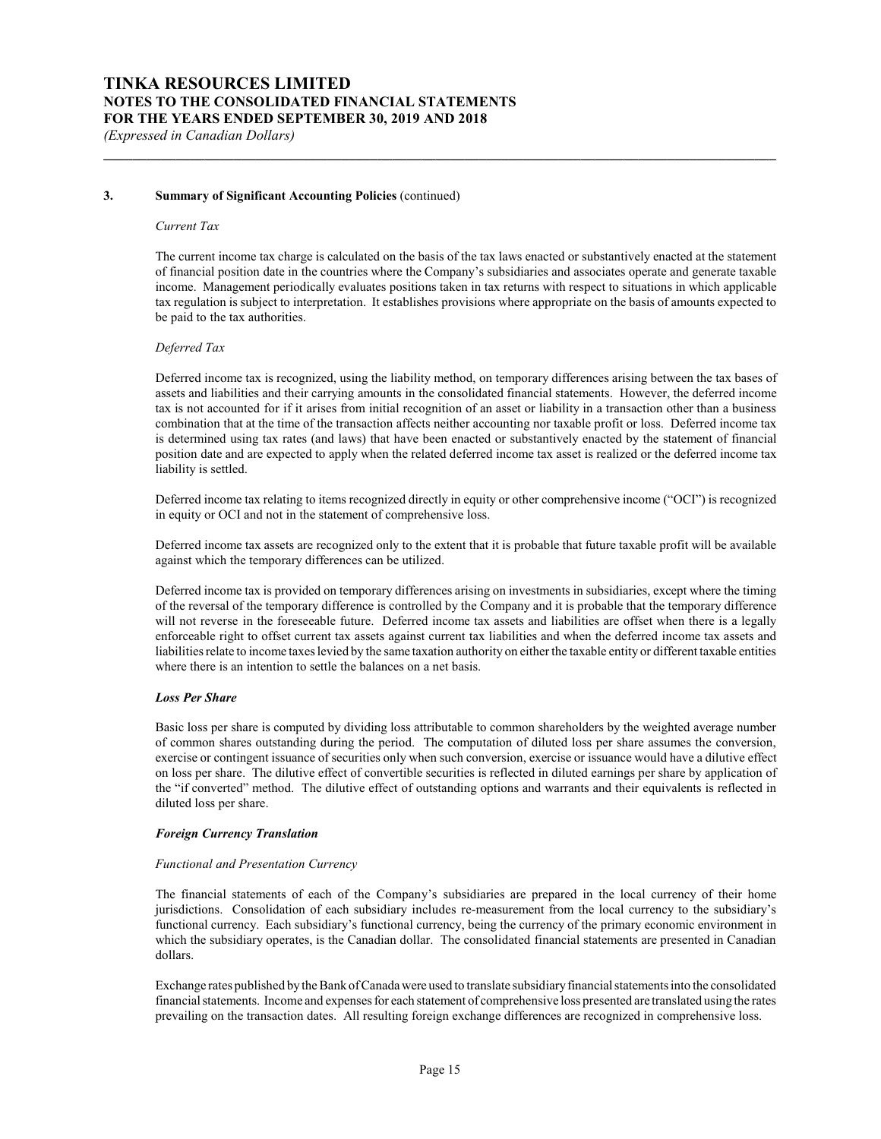#### **3. Summary of Significant Accounting Policies** (continued)

#### *Current Tax*

The current income tax charge is calculated on the basis of the tax laws enacted or substantively enacted at the statement of financial position date in the countries where the Company's subsidiaries and associates operate and generate taxable income. Management periodically evaluates positions taken in tax returns with respect to situations in which applicable tax regulation is subject to interpretation. It establishes provisions where appropriate on the basis of amounts expected to be paid to the tax authorities.

**\_\_\_\_\_\_\_\_\_\_\_\_\_\_\_\_\_\_\_\_\_\_\_\_\_\_\_\_\_\_\_\_\_\_\_\_\_\_\_\_\_\_\_\_\_\_\_\_\_\_\_\_\_\_\_\_\_\_\_\_\_\_\_\_\_\_\_\_\_\_\_\_\_\_\_\_\_\_\_\_\_\_\_\_\_\_\_\_\_\_\_\_\_**

#### *Deferred Tax*

Deferred income tax is recognized, using the liability method, on temporary differences arising between the tax bases of assets and liabilities and their carrying amounts in the consolidated financial statements. However, the deferred income tax is not accounted for if it arises from initial recognition of an asset or liability in a transaction other than a business combination that at the time of the transaction affects neither accounting nor taxable profit or loss. Deferred income tax is determined using tax rates (and laws) that have been enacted or substantively enacted by the statement of financial position date and are expected to apply when the related deferred income tax asset is realized or the deferred income tax liability is settled.

Deferred income tax relating to items recognized directly in equity or other comprehensive income ("OCI") is recognized in equity or OCI and not in the statement of comprehensive loss.

Deferred income tax assets are recognized only to the extent that it is probable that future taxable profit will be available against which the temporary differences can be utilized.

Deferred income tax is provided on temporary differences arising on investments in subsidiaries, except where the timing of the reversal of the temporary difference is controlled by the Company and it is probable that the temporary difference will not reverse in the foreseeable future. Deferred income tax assets and liabilities are offset when there is a legally enforceable right to offset current tax assets against current tax liabilities and when the deferred income tax assets and liabilities relate to income taxes levied by the same taxation authority on either the taxable entity or different taxable entities where there is an intention to settle the balances on a net basis.

#### *Loss Per Share*

Basic loss per share is computed by dividing loss attributable to common shareholders by the weighted average number of common shares outstanding during the period. The computation of diluted loss per share assumes the conversion, exercise or contingent issuance of securities only when such conversion, exercise or issuance would have a dilutive effect on loss per share. The dilutive effect of convertible securities is reflected in diluted earnings per share by application of the "if converted" method. The dilutive effect of outstanding options and warrants and their equivalents is reflected in diluted loss per share.

#### *Foreign Currency Translation*

#### *Functional and Presentation Currency*

The financial statements of each of the Company's subsidiaries are prepared in the local currency of their home jurisdictions. Consolidation of each subsidiary includes re-measurement from the local currency to the subsidiary's functional currency. Each subsidiary's functional currency, being the currency of the primary economic environment in which the subsidiary operates, is the Canadian dollar. The consolidated financial statements are presented in Canadian dollars.

Exchange rates published by the Bank of Canada were used to translate subsidiaryfinancial statements into the consolidated financial statements. Income and expenses for each statement of comprehensive loss presented are translated using the rates prevailing on the transaction dates. All resulting foreign exchange differences are recognized in comprehensive loss.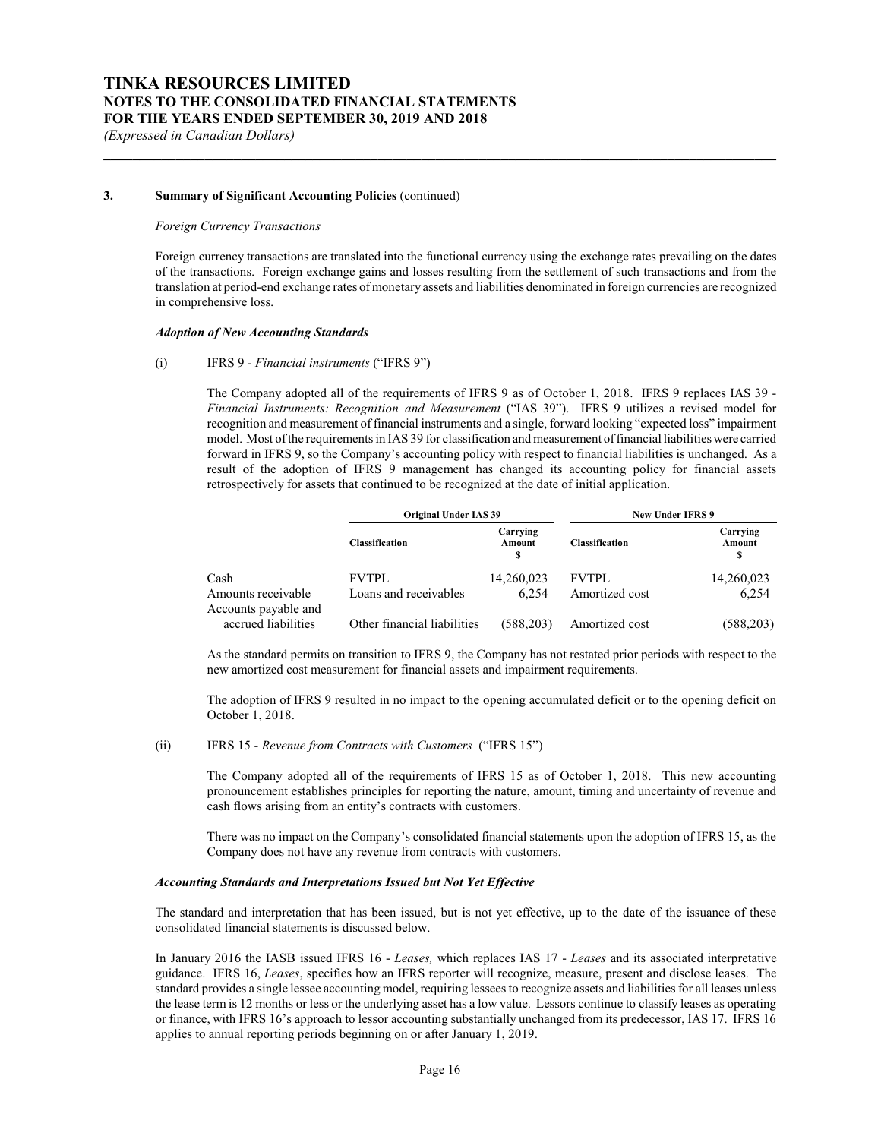#### **3. Summary of Significant Accounting Policies** (continued)

#### *Foreign Currency Transactions*

Foreign currency transactions are translated into the functional currency using the exchange rates prevailing on the dates of the transactions. Foreign exchange gains and losses resulting from the settlement of such transactions and from the translation at period-end exchange rates of monetary assets and liabilities denominated in foreign currencies are recognized in comprehensive loss.

**\_\_\_\_\_\_\_\_\_\_\_\_\_\_\_\_\_\_\_\_\_\_\_\_\_\_\_\_\_\_\_\_\_\_\_\_\_\_\_\_\_\_\_\_\_\_\_\_\_\_\_\_\_\_\_\_\_\_\_\_\_\_\_\_\_\_\_\_\_\_\_\_\_\_\_\_\_\_\_\_\_\_\_\_\_\_\_\_\_\_\_\_\_**

#### *Adoption of New Accounting Standards*

(i) IFRS 9 - *Financial instruments* ("IFRS 9")

The Company adopted all of the requirements of IFRS 9 as of October 1, 2018. IFRS 9 replaces IAS 39 - *Financial Instruments: Recognition and Measurement* ("IAS 39"). IFRS 9 utilizes a revised model for recognition and measurement of financial instruments and a single, forward looking "expected loss" impairment model. Most of the requirements in IAS 39 for classification and measurement of financial liabilities were carried forward in IFRS 9, so the Company's accounting policy with respect to financial liabilities is unchanged. As a result of the adoption of IFRS 9 management has changed its accounting policy for financial assets retrospectively for assets that continued to be recognized at the date of initial application.

|                                            | Original Under IAS 39       |                         | <b>New Under IFRS 9</b> |                          |
|--------------------------------------------|-----------------------------|-------------------------|-------------------------|--------------------------|
|                                            | <b>Classification</b>       | Carrying<br>Amount<br>S | <b>Classification</b>   | Carrying<br>Amount<br>-S |
| Cash                                       | <b>FVTPL</b>                | 14,260,023              | <b>FVTPL</b>            | 14,260,023               |
| Amounts receivable<br>Accounts payable and | Loans and receivables       | 6.254                   | Amortized cost          | 6,254                    |
| accrued liabilities                        | Other financial liabilities | (588.203)               | Amortized cost          | (588, 203)               |

As the standard permits on transition to IFRS 9, the Company has not restated prior periods with respect to the new amortized cost measurement for financial assets and impairment requirements.

The adoption of IFRS 9 resulted in no impact to the opening accumulated deficit or to the opening deficit on October 1, 2018.

#### (ii) IFRS 15 - *Revenue from Contracts with Customers* ("IFRS 15")

The Company adopted all of the requirements of IFRS 15 as of October 1, 2018. This new accounting pronouncement establishes principles for reporting the nature, amount, timing and uncertainty of revenue and cash flows arising from an entity's contracts with customers.

There was no impact on the Company's consolidated financial statements upon the adoption of IFRS 15, as the Company does not have any revenue from contracts with customers.

#### *Accounting Standards and Interpretations Issued but Not Yet Effective*

The standard and interpretation that has been issued, but is not yet effective, up to the date of the issuance of these consolidated financial statements is discussed below.

In January 2016 the IASB issued IFRS 16 - *Leases,* which replaces IAS 17 - *Leases* and its associated interpretative guidance. IFRS 16, *Leases*, specifies how an IFRS reporter will recognize, measure, present and disclose leases. The standard provides a single lessee accounting model, requiring lessees to recognize assets and liabilities for all leases unless the lease term is 12 months or less or the underlying asset has a low value. Lessors continue to classify leases as operating or finance, with IFRS 16's approach to lessor accounting substantially unchanged from its predecessor, IAS 17. IFRS 16 applies to annual reporting periods beginning on or after January 1, 2019.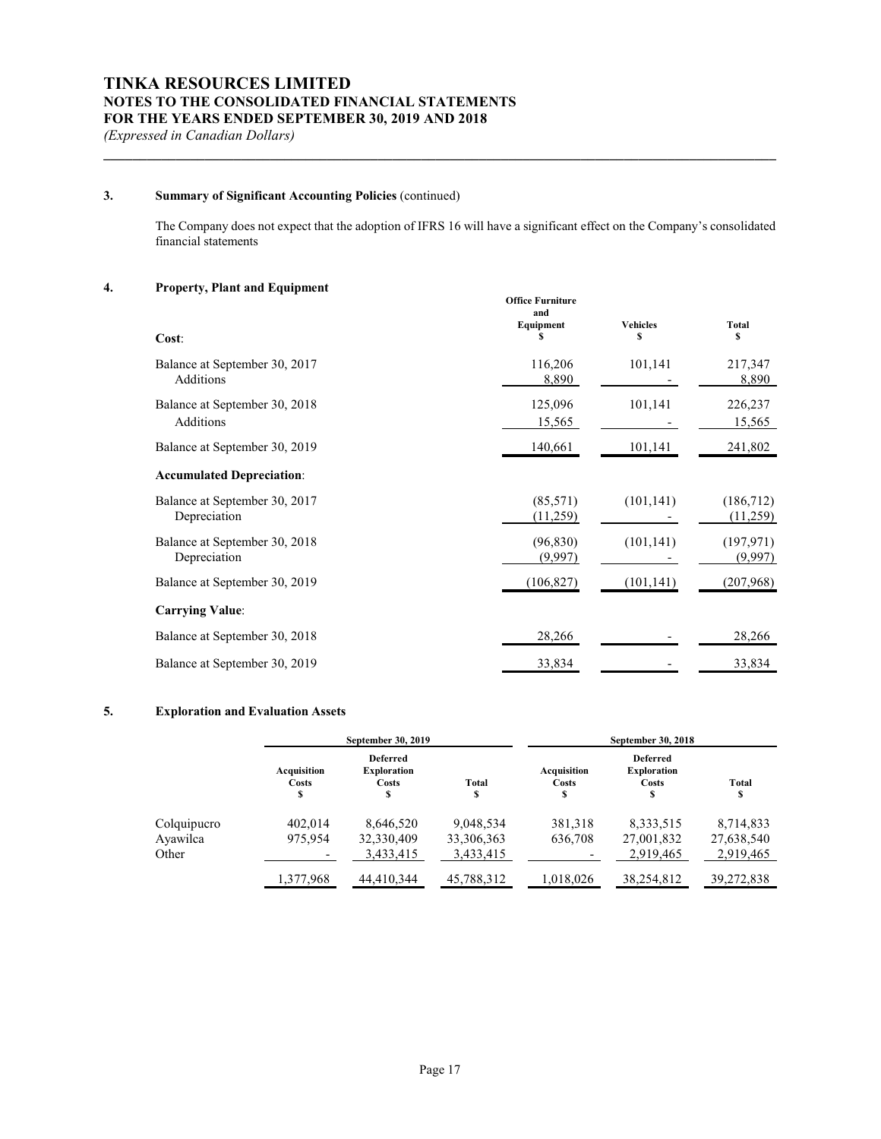#### **3. Summary of Significant Accounting Policies** (continued)

The Company does not expect that the adoption of IFRS 16 will have a significant effect on the Company's consolidated financial statements

**\_\_\_\_\_\_\_\_\_\_\_\_\_\_\_\_\_\_\_\_\_\_\_\_\_\_\_\_\_\_\_\_\_\_\_\_\_\_\_\_\_\_\_\_\_\_\_\_\_\_\_\_\_\_\_\_\_\_\_\_\_\_\_\_\_\_\_\_\_\_\_\_\_\_\_\_\_\_\_\_\_\_\_\_\_\_\_\_\_\_\_\_\_**

#### **4. Property, Plant and Equipment**

|                                               | <b>Office Furniture</b><br>and<br>Equipment | <b>Vehicles</b> | <b>Total</b>           |
|-----------------------------------------------|---------------------------------------------|-----------------|------------------------|
| Cost:                                         | \$                                          | \$              | S                      |
| Balance at September 30, 2017<br>Additions    | 116,206<br>8,890                            | 101,141         | 217,347<br>8,890       |
| Balance at September 30, 2018                 | 125,096                                     | 101,141         | 226,237                |
| Additions                                     | 15,565                                      |                 | 15,565                 |
| Balance at September 30, 2019                 | 140,661                                     | 101,141         | 241,802                |
| <b>Accumulated Depreciation:</b>              |                                             |                 |                        |
| Balance at September 30, 2017<br>Depreciation | (85, 571)<br>(11,259)                       | (101, 141)      | (186, 712)<br>(11,259) |
| Balance at September 30, 2018                 | (96, 830)                                   | (101, 141)      | (197, 971)             |
| Depreciation                                  | (9,997)                                     |                 | (9,997)                |
| Balance at September 30, 2019                 | (106, 827)                                  | (101, 141)      | (207, 968)             |
| <b>Carrying Value:</b>                        |                                             |                 |                        |
| Balance at September 30, 2018                 | 28,266                                      |                 | 28,266                 |
| Balance at September 30, 2019                 | 33,834                                      |                 | 33,834                 |

## **5. Exploration and Evaluation Assets**

|             | September 30, 2019               |                                                     | September 30, 2018 |                            |                                                     |                    |
|-------------|----------------------------------|-----------------------------------------------------|--------------------|----------------------------|-----------------------------------------------------|--------------------|
|             | Acquisition<br><b>Costs</b><br>S | <b>Deferred</b><br><b>Exploration</b><br>Costs<br>s | Total<br>\$        | Acquisition<br>Costs<br>\$ | <b>Deferred</b><br><b>Exploration</b><br>Costs<br>S | <b>Total</b><br>\$ |
| Colquipucro | 402.014                          | 8,646,520                                           | 9,048,534          | 381,318                    | 8, 333, 515                                         | 8,714,833          |
| Ayawilca    | 975.954                          | 32,330,409                                          | 33,306,363         | 636,708                    | 27,001,832                                          | 27,638,540         |
| Other       |                                  | 3,433,415                                           | 3,433,415          |                            | 2,919,465                                           | 2,919,465          |
|             | 1,377,968                        | 44,410,344                                          | 45,788,312         | 1,018,026                  | 38,254,812                                          | 39,272,838         |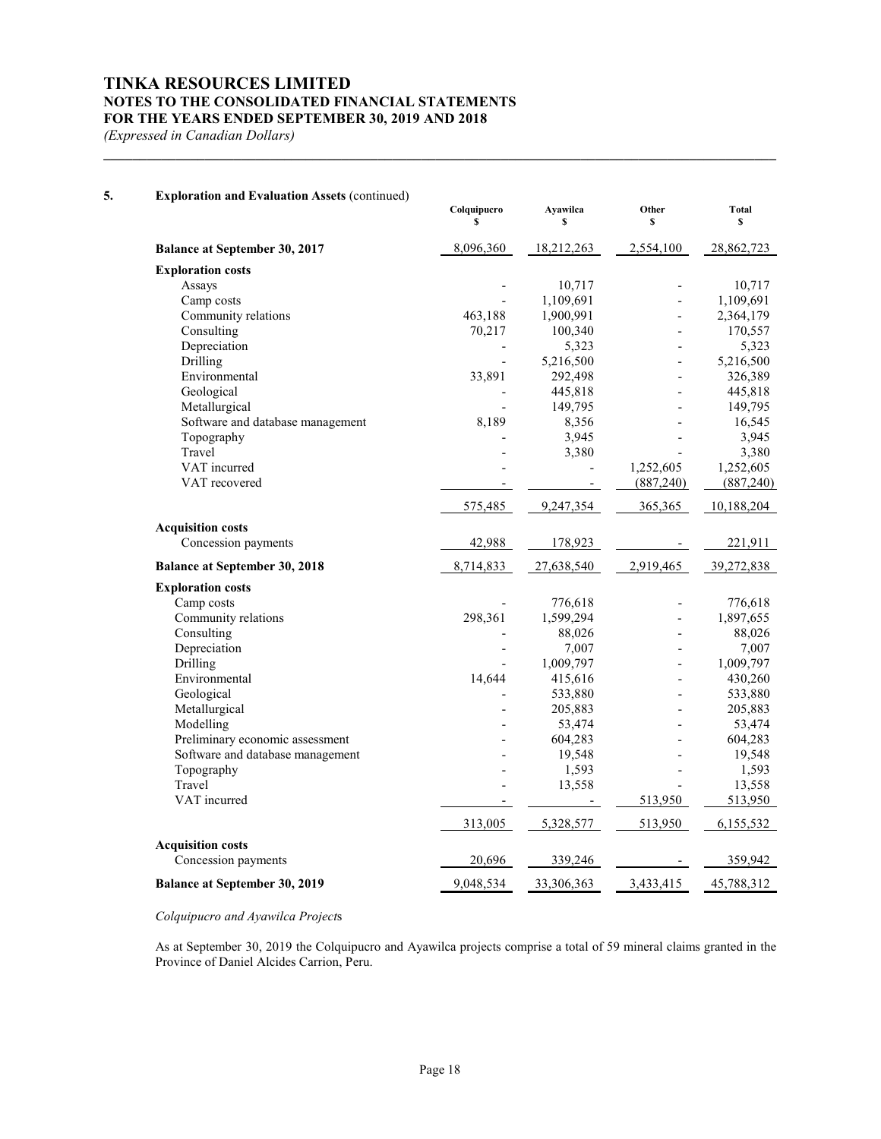## **TINKA RESOURCES LIMITED NOTES TO THE CONSOLIDATED FINANCIAL STATEMENTS FOR THE YEARS ENDED SEPTEMBER 30, 2019 AND 2018**

*(Expressed in Canadian Dollars)*

| 5. | <b>Exploration and Evaluation Assets (continued)</b> |                  |                |                |                    |
|----|------------------------------------------------------|------------------|----------------|----------------|--------------------|
|    |                                                      | Colquipucro<br>S | Ayawilca<br>\$ | Other<br>\$    | <b>Total</b><br>\$ |
|    | <b>Balance at September 30, 2017</b>                 | 8,096,360        | 18,212,263     | 2,554,100      | 28,862,723         |
|    | <b>Exploration costs</b>                             |                  |                |                |                    |
|    | Assays                                               |                  | 10,717         |                | 10,717             |
|    | Camp costs                                           |                  | 1,109,691      |                | 1,109,691          |
|    | Community relations                                  | 463,188          | 1,900,991      | $\overline{a}$ | 2,364,179          |
|    | Consulting                                           | 70,217           | 100,340        |                | 170,557            |
|    | Depreciation                                         |                  | 5,323          |                | 5,323              |
|    | Drilling                                             |                  | 5,216,500      |                | 5,216,500          |
|    | Environmental                                        | 33,891           | 292,498        |                | 326,389            |
|    | Geological                                           |                  | 445,818        |                | 445,818            |
|    | Metallurgical                                        |                  | 149,795        |                | 149,795            |
|    | Software and database management                     | 8,189            | 8,356          |                | 16,545             |
|    | Topography                                           |                  | 3,945          |                | 3,945              |
|    | Travel                                               |                  | 3,380          |                | 3,380              |
|    | VAT incurred                                         |                  |                | 1,252,605      | 1,252,605          |
|    | VAT recovered                                        |                  |                | (887,240)      | (887,240)          |
|    |                                                      | 575,485          | 9,247,354      | 365,365        | 10,188,204         |
|    | <b>Acquisition costs</b>                             |                  |                |                |                    |
|    | Concession payments                                  | 42,988           | 178,923        |                | 221,911            |
|    | <b>Balance at September 30, 2018</b>                 | 8,714,833        | 27,638,540     | 2,919,465      | 39,272,838         |
|    | <b>Exploration costs</b>                             |                  |                |                |                    |
|    | Camp costs                                           |                  | 776,618        |                | 776,618            |
|    | Community relations                                  | 298,361          | 1,599,294      |                | 1,897,655          |
|    | Consulting                                           |                  | 88,026         |                | 88,026             |
|    | Depreciation                                         |                  | 7,007          |                | 7,007              |
|    | Drilling                                             |                  | 1,009,797      |                | 1,009,797          |
|    | Environmental                                        | 14,644           | 415,616        |                | 430,260            |
|    | Geological                                           |                  | 533,880        |                | 533,880            |
|    | Metallurgical                                        |                  | 205,883        |                | 205,883            |
|    | Modelling                                            |                  | 53,474         |                | 53,474             |
|    | Preliminary economic assessment                      |                  | 604,283        |                | 604,283            |
|    | Software and database management                     |                  | 19,548         |                | 19,548             |
|    | Topography                                           |                  | 1,593          |                | 1,593              |
|    | Travel                                               |                  | 13,558         |                | 13,558             |
|    | VAT incurred                                         |                  |                | 513,950        | 513,950            |
|    |                                                      | 313,005          | 5,328,577      | 513,950        | 6,155,532          |
|    | <b>Acquisition costs</b>                             |                  |                |                |                    |
|    | Concession payments                                  | 20,696           | 339,246        |                | 359,942            |
|    | Balance at September 30, 2019                        | 9,048,534        | 33,306,363     | 3,433,415      | 45,788,312         |

**\_\_\_\_\_\_\_\_\_\_\_\_\_\_\_\_\_\_\_\_\_\_\_\_\_\_\_\_\_\_\_\_\_\_\_\_\_\_\_\_\_\_\_\_\_\_\_\_\_\_\_\_\_\_\_\_\_\_\_\_\_\_\_\_\_\_\_\_\_\_\_\_\_\_\_\_\_\_\_\_\_\_\_\_\_\_\_\_\_\_\_\_\_**

*Colquipucro and Ayawilca Project*s

As at September 30, 2019 the Colquipucro and Ayawilca projects comprise a total of 59 mineral claims granted in the Province of Daniel Alcides Carrion, Peru.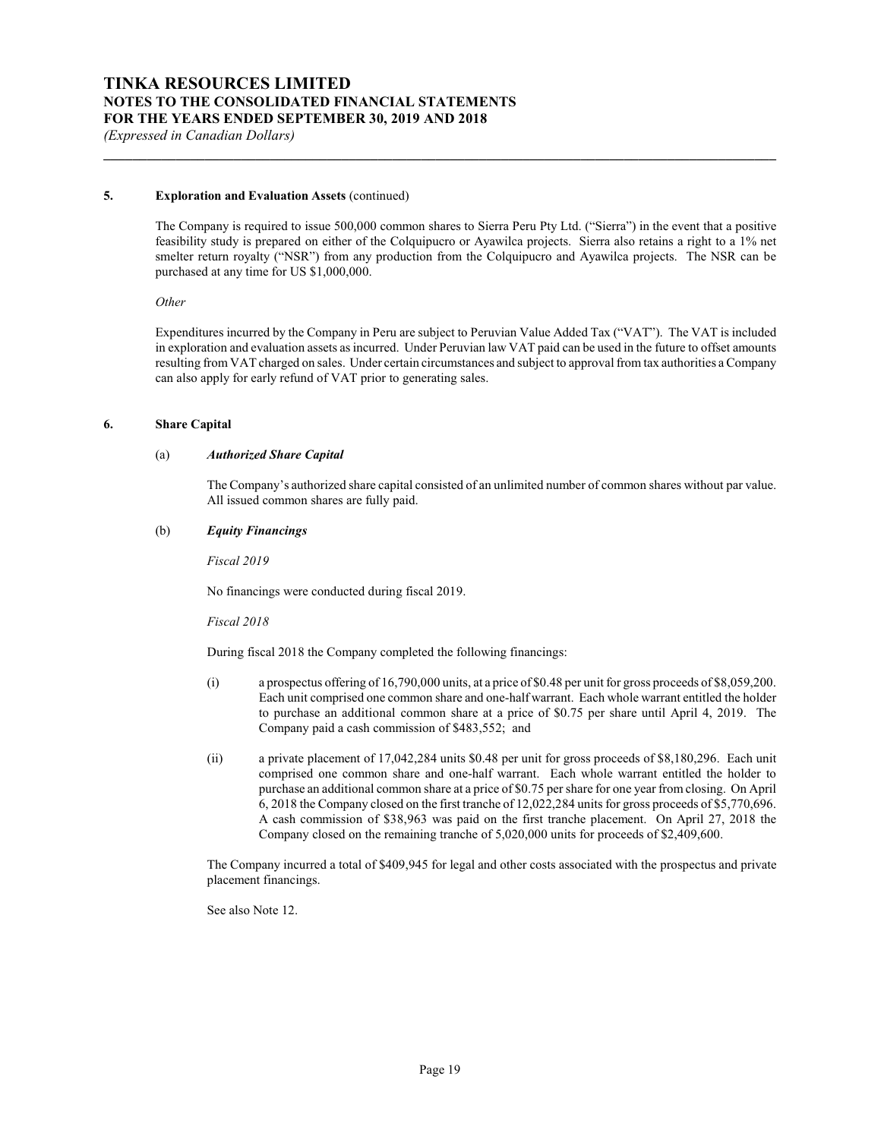#### **5. Exploration and Evaluation Assets** (continued)

The Company is required to issue 500,000 common shares to Sierra Peru Pty Ltd. ("Sierra") in the event that a positive feasibility study is prepared on either of the Colquipucro or Ayawilca projects. Sierra also retains a right to a 1% net smelter return royalty ("NSR") from any production from the Colquipucro and Ayawilca projects. The NSR can be purchased at any time for US \$1,000,000.

**\_\_\_\_\_\_\_\_\_\_\_\_\_\_\_\_\_\_\_\_\_\_\_\_\_\_\_\_\_\_\_\_\_\_\_\_\_\_\_\_\_\_\_\_\_\_\_\_\_\_\_\_\_\_\_\_\_\_\_\_\_\_\_\_\_\_\_\_\_\_\_\_\_\_\_\_\_\_\_\_\_\_\_\_\_\_\_\_\_\_\_\_\_**

*Other*

Expenditures incurred by the Company in Peru are subject to Peruvian Value Added Tax ("VAT"). The VAT is included in exploration and evaluation assets as incurred. Under Peruvian law VAT paid can be used in the future to offset amounts resulting from VAT charged on sales. Under certain circumstances and subject to approval from tax authorities a Company can also apply for early refund of VAT prior to generating sales.

#### **6. Share Capital**

#### (a) *Authorized Share Capital*

The Company's authorized share capital consisted of an unlimited number of common shares without par value. All issued common shares are fully paid.

#### (b) *Equity Financings*

*Fiscal 2019*

No financings were conducted during fiscal 2019.

#### *Fiscal 2018*

During fiscal 2018 the Company completed the following financings:

- (i) a prospectus offering of 16,790,000 units, at a price of \$0.48 per unit for gross proceeds of \$8,059,200. Each unit comprised one common share and one-half warrant. Each whole warrant entitled the holder to purchase an additional common share at a price of \$0.75 per share until April 4, 2019. The Company paid a cash commission of \$483,552; and
- (ii) a private placement of 17,042,284 units \$0.48 per unit for gross proceeds of \$8,180,296. Each unit comprised one common share and one-half warrant. Each whole warrant entitled the holder to purchase an additional common share at a price of \$0.75 per share for one year from closing. On April 6, 2018 the Company closed on the first tranche of 12,022,284 units for gross proceeds of \$5,770,696. A cash commission of \$38,963 was paid on the first tranche placement. On April 27, 2018 the Company closed on the remaining tranche of 5,020,000 units for proceeds of \$2,409,600.

The Company incurred a total of \$409,945 for legal and other costs associated with the prospectus and private placement financings.

See also Note 12.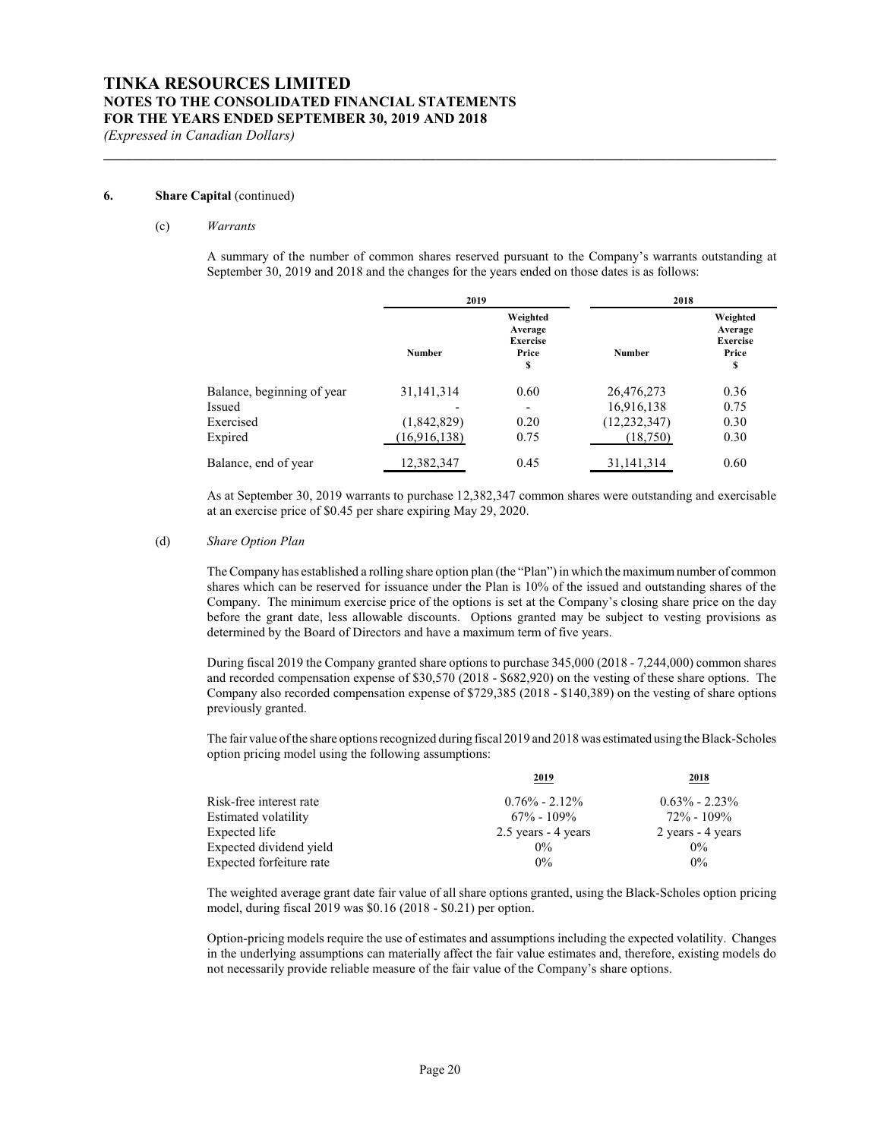#### **6. Share Capital** (continued)

#### (c) *Warrants*

A summary of the number of common shares reserved pursuant to the Company's warrants outstanding at September 30, 2019 and 2018 and the changes for the years ended on those dates is as follows:

**\_\_\_\_\_\_\_\_\_\_\_\_\_\_\_\_\_\_\_\_\_\_\_\_\_\_\_\_\_\_\_\_\_\_\_\_\_\_\_\_\_\_\_\_\_\_\_\_\_\_\_\_\_\_\_\_\_\_\_\_\_\_\_\_\_\_\_\_\_\_\_\_\_\_\_\_\_\_\_\_\_\_\_\_\_\_\_\_\_\_\_\_\_**

|                            |                | 2019                                                  |                | 2018                                                  |  |
|----------------------------|----------------|-------------------------------------------------------|----------------|-------------------------------------------------------|--|
|                            | <b>Number</b>  | Weighted<br>Average<br><b>Exercise</b><br>Price<br>\$ | <b>Number</b>  | Weighted<br>Average<br><b>Exercise</b><br>Price<br>\$ |  |
| Balance, beginning of year | 31, 141, 314   | 0.60                                                  | 26,476,273     | 0.36                                                  |  |
| Issued                     |                | $\overline{a}$                                        | 16,916,138     | 0.75                                                  |  |
| Exercised                  | (1,842,829)    | 0.20                                                  | (12, 232, 347) | 0.30                                                  |  |
| Expired                    | (16, 916, 138) | 0.75                                                  | (18,750)       | 0.30                                                  |  |
| Balance, end of year       | 12,382,347     | 0.45                                                  | 31, 141, 314   | 0.60                                                  |  |

As at September 30, 2019 warrants to purchase 12,382,347 common shares were outstanding and exercisable at an exercise price of \$0.45 per share expiring May 29, 2020.

#### (d) *Share Option Plan*

The Company has established a rolling share option plan (the "Plan") in which the maximumnumber of common shares which can be reserved for issuance under the Plan is 10% of the issued and outstanding shares of the Company. The minimum exercise price of the options is set at the Company's closing share price on the day before the grant date, less allowable discounts. Options granted may be subject to vesting provisions as determined by the Board of Directors and have a maximum term of five years.

During fiscal 2019 the Company granted share options to purchase 345,000 (2018 - 7,244,000) common shares and recorded compensation expense of \$30,570 (2018 - \$682,920) on the vesting of these share options. The Company also recorded compensation expense of \$729,385 (2018 - \$140,389) on the vesting of share options previously granted.

The fair value of the share options recognized during fiscal 2019 and 2018 was estimated using the Black-Scholes option pricing model using the following assumptions:

| 2019                | 2018              |
|---------------------|-------------------|
| $0.76\% - 2.12\%$   | $0.63\% - 2.23\%$ |
| $67\% - 109\%$      | 72% - 109%        |
| 2.5 years - 4 years | 2 years - 4 years |
| $0\%$               | $0\%$             |
| $0\%$               | $0\%$             |
|                     |                   |

The weighted average grant date fair value of all share options granted, using the Black-Scholes option pricing model, during fiscal 2019 was \$0.16 (2018 - \$0.21) per option.

Option-pricing models require the use of estimates and assumptions including the expected volatility. Changes in the underlying assumptions can materially affect the fair value estimates and, therefore, existing models do not necessarily provide reliable measure of the fair value of the Company's share options.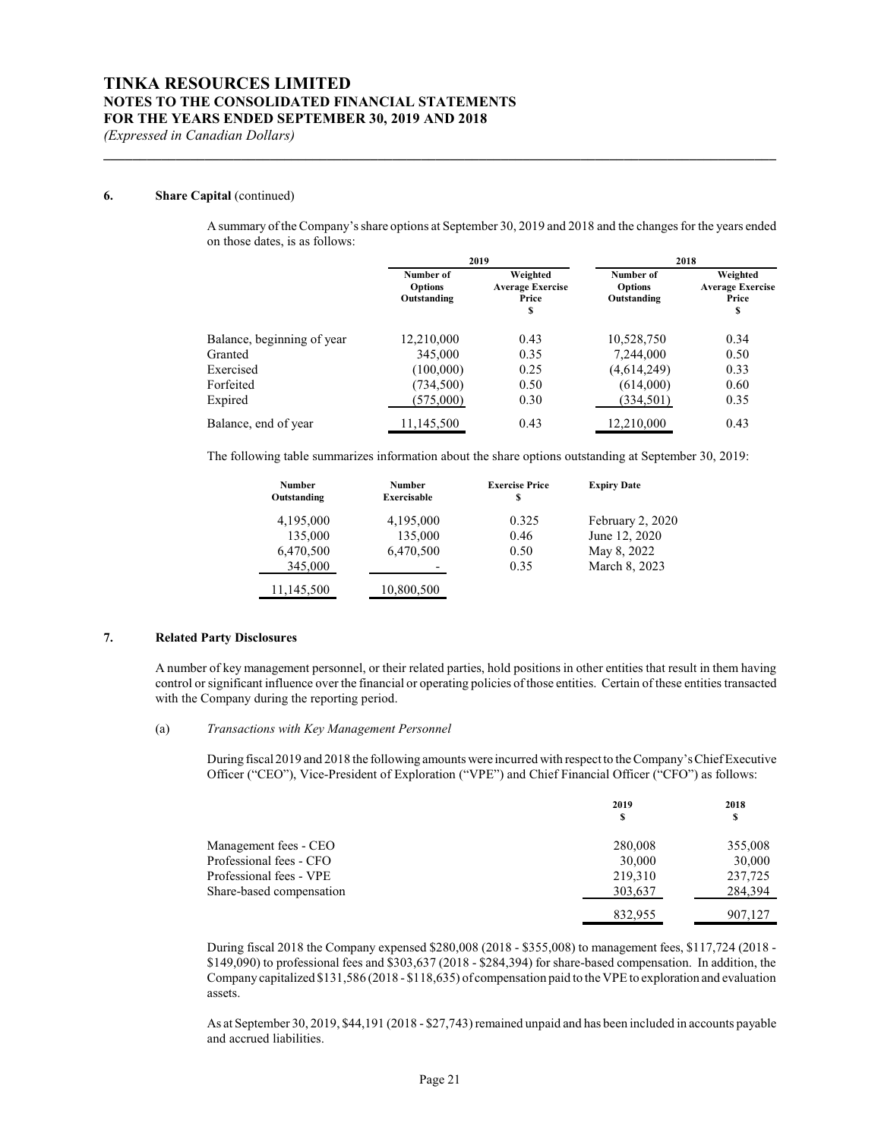#### **6. Share Capital** (continued)

A summary of the Company'sshare options at September 30, 2019 and 2018 and the changes for the years ended on those dates, is as follows:

**\_\_\_\_\_\_\_\_\_\_\_\_\_\_\_\_\_\_\_\_\_\_\_\_\_\_\_\_\_\_\_\_\_\_\_\_\_\_\_\_\_\_\_\_\_\_\_\_\_\_\_\_\_\_\_\_\_\_\_\_\_\_\_\_\_\_\_\_\_\_\_\_\_\_\_\_\_\_\_\_\_\_\_\_\_\_\_\_\_\_\_\_\_**

|                            |                                            | 2019                                               |                                            | 2018                                               |
|----------------------------|--------------------------------------------|----------------------------------------------------|--------------------------------------------|----------------------------------------------------|
|                            | Number of<br><b>Options</b><br>Outstanding | Weighted<br><b>Average Exercise</b><br>Price<br>\$ | Number of<br><b>Options</b><br>Outstanding | Weighted<br><b>Average Exercise</b><br>Price<br>\$ |
| Balance, beginning of year | 12,210,000                                 | 0.43                                               | 10,528,750                                 | 0.34                                               |
| Granted                    | 345,000                                    | 0.35                                               | 7,244,000                                  | 0.50                                               |
| Exercised                  | (100,000)                                  | 0.25                                               | (4,614,249)                                | 0.33                                               |
| Forfeited                  | (734, 500)                                 | 0.50                                               | (614,000)                                  | 0.60                                               |
| Expired                    | (575,000)                                  | 0.30                                               | (334, 501)                                 | 0.35                                               |
| Balance, end of year       | 11,145,500                                 | 0.43                                               | 12,210,000                                 | 0.43                                               |

The following table summarizes information about the share options outstanding at September 30, 2019:

| <b>Number</b><br>Outstanding | <b>Number</b><br><b>Exercisable</b> | <b>Exercise Price</b><br>S | <b>Expiry Date</b> |
|------------------------------|-------------------------------------|----------------------------|--------------------|
| 4,195,000                    | 4,195,000                           | 0.325                      | February 2, 2020   |
| 135,000                      | 135,000                             | 0.46                       | June 12, 2020      |
| 6,470,500                    | 6,470,500                           | 0.50                       | May 8, 2022        |
| 345,000                      |                                     | 0.35                       | March 8, 2023      |
| 11,145,500                   | 10,800,500                          |                            |                    |

#### **7. Related Party Disclosures**

A number of key management personnel, or their related parties, hold positions in other entities that result in them having control or significant influence over the financial or operating policies of those entities. Certain of these entities transacted with the Company during the reporting period.

#### (a) *Transactions with Key Management Personnel*

During fiscal 2019 and 2018 the following amounts were incurred with respect to the Company's Chief Executive Officer ("CEO"), Vice-President of Exploration ("VPE") and Chief Financial Officer ("CFO") as follows:

|                          | 2019<br>\$ | 2018<br>S |
|--------------------------|------------|-----------|
| Management fees - CEO    | 280,008    | 355,008   |
| Professional fees - CFO  | 30,000     | 30,000    |
| Professional fees - VPE  | 219,310    | 237,725   |
| Share-based compensation | 303,637    | 284,394   |
|                          | 832.955    | 907.127   |

During fiscal 2018 the Company expensed \$280,008 (2018 - \$355,008) to management fees, \$117,724 (2018 - \$149,090) to professional fees and \$303,637 (2018 - \$284,394) for share-based compensation. In addition, the Company capitalized \$131,586 (2018 - \$118,635) of compensation paid to the VPE to exploration and evaluation assets.

As at September 30, 2019, \$44,191 (2018 - \$27,743) remained unpaid and has been included in accounts payable and accrued liabilities.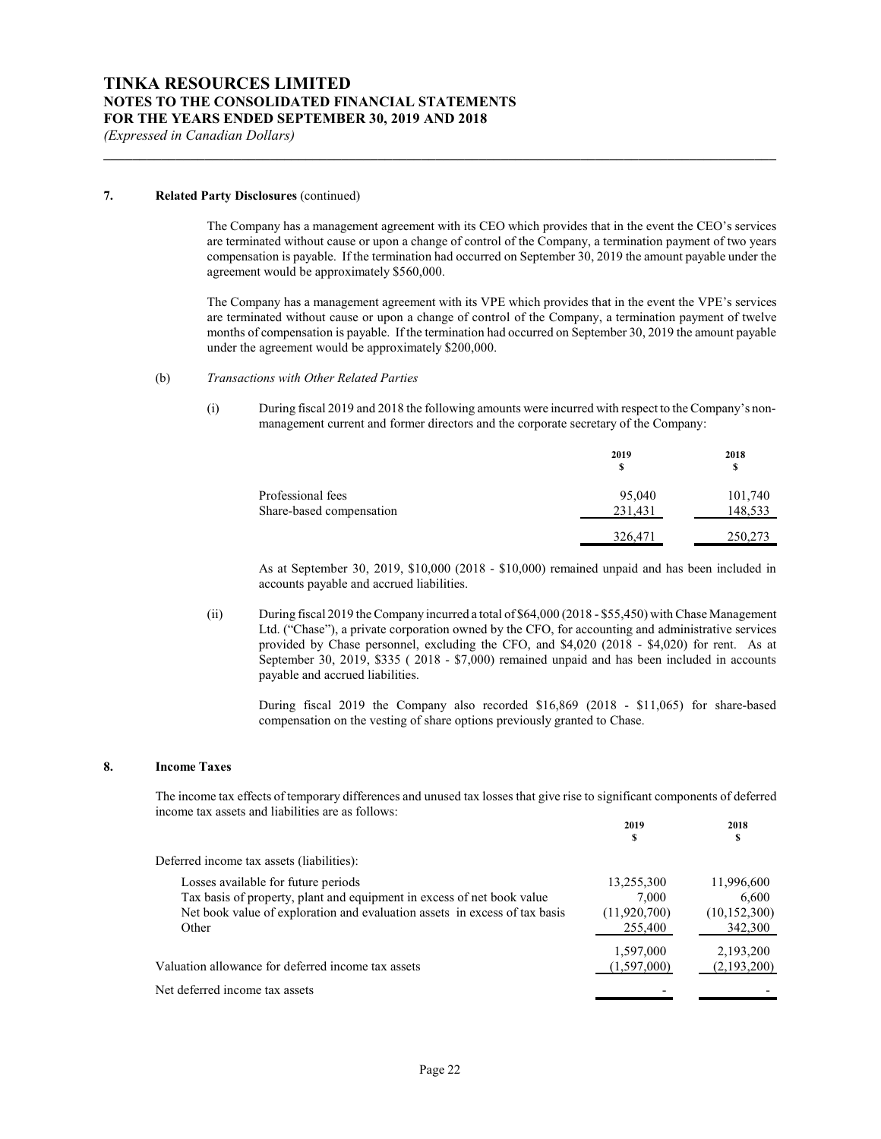#### **7. Related Party Disclosures** (continued)

The Company has a management agreement with its CEO which provides that in the event the CEO's services are terminated without cause or upon a change of control of the Company, a termination payment of two years compensation is payable. If the termination had occurred on September 30, 2019 the amount payable under the agreement would be approximately \$560,000.

**\_\_\_\_\_\_\_\_\_\_\_\_\_\_\_\_\_\_\_\_\_\_\_\_\_\_\_\_\_\_\_\_\_\_\_\_\_\_\_\_\_\_\_\_\_\_\_\_\_\_\_\_\_\_\_\_\_\_\_\_\_\_\_\_\_\_\_\_\_\_\_\_\_\_\_\_\_\_\_\_\_\_\_\_\_\_\_\_\_\_\_\_\_**

The Company has a management agreement with its VPE which provides that in the event the VPE's services are terminated without cause or upon a change of control of the Company, a termination payment of twelve months of compensation is payable. If the termination had occurred on September 30, 2019 the amount payable under the agreement would be approximately \$200,000.

#### (b) *Transactions with Other Related Parties*

(i) During fiscal 2019 and 2018 the following amounts were incurred with respect to the Company's nonmanagement current and former directors and the corporate secretary of the Company:

|                          | 2019<br>S | 2018<br>\$ |
|--------------------------|-----------|------------|
| Professional fees        | 95,040    | 101,740    |
| Share-based compensation | 231,431   | 148,533    |
|                          | 326,471   | 250,273    |

As at September 30, 2019, \$10,000 (2018 - \$10,000) remained unpaid and has been included in accounts payable and accrued liabilities.

(ii) During fiscal 2019 the Company incurred a total of \$64,000 (2018 - \$55,450) with Chase Management Ltd. ("Chase"), a private corporation owned by the CFO, for accounting and administrative services provided by Chase personnel, excluding the CFO, and \$4,020 (2018 - \$4,020) for rent. As at September 30, 2019, \$335 (2018 - \$7,000) remained unpaid and has been included in accounts payable and accrued liabilities.

During fiscal 2019 the Company also recorded \$16,869 (2018 - \$11,065) for share-based compensation on the vesting of share options previously granted to Chase.

#### **8. Income Taxes**

The income tax effects of temporary differences and unused tax losses that give rise to significant components of deferred income tax assets and liabilities are as follows:

|                                                                            | 2019         | 2018<br>s      |
|----------------------------------------------------------------------------|--------------|----------------|
| Deferred income tax assets (liabilities):                                  |              |                |
| Losses available for future periods                                        | 13,255,300   | 11,996,600     |
| Tax basis of property, plant and equipment in excess of net book value     | 7.000        | 6,600          |
| Net book value of exploration and evaluation assets in excess of tax basis | (11,920,700) | (10, 152, 300) |
| Other                                                                      | 255,400      | 342,300        |
| Valuation allowance for deferred income tax assets                         | 1,597,000    | 2,193,200      |
| Net deferred income tax assets                                             | (1,597,000)  | (2,193,200)    |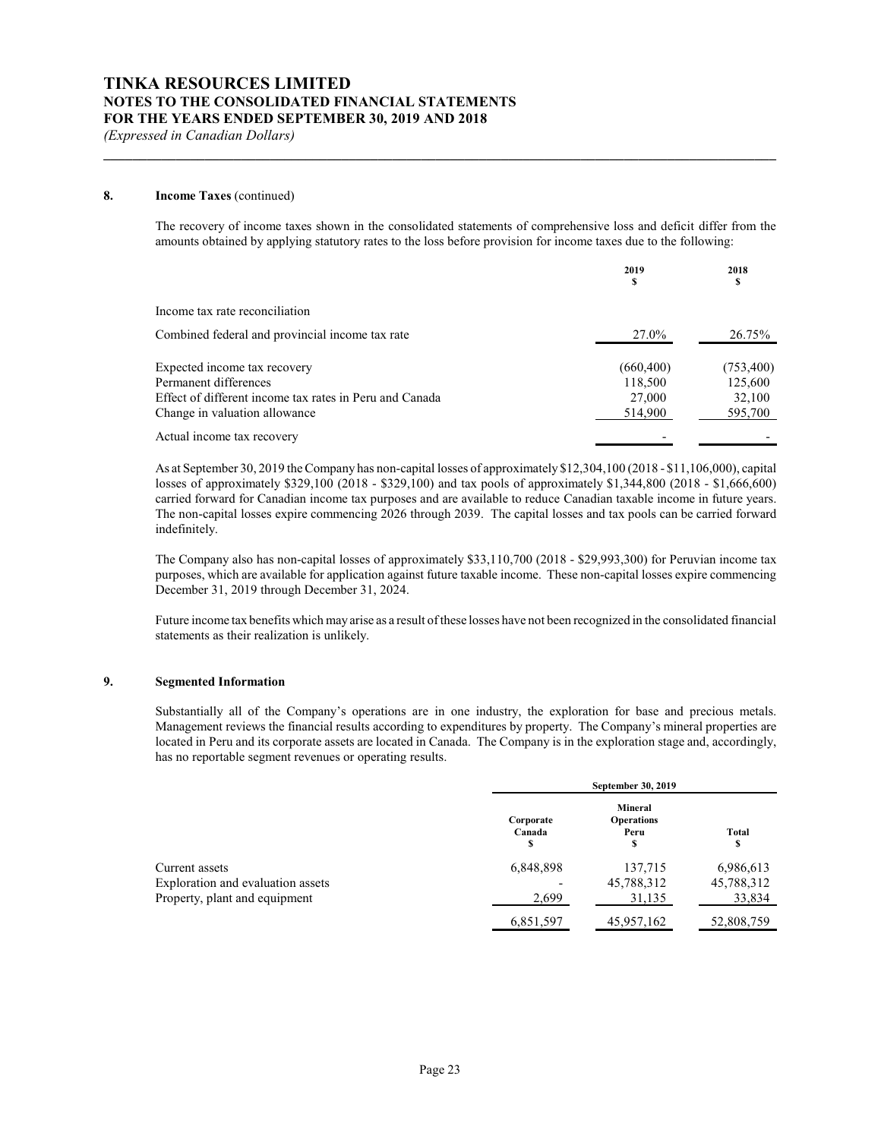#### **8. Income Taxes** (continued)

The recovery of income taxes shown in the consolidated statements of comprehensive loss and deficit differ from the amounts obtained by applying statutory rates to the loss before provision for income taxes due to the following:

**\_\_\_\_\_\_\_\_\_\_\_\_\_\_\_\_\_\_\_\_\_\_\_\_\_\_\_\_\_\_\_\_\_\_\_\_\_\_\_\_\_\_\_\_\_\_\_\_\_\_\_\_\_\_\_\_\_\_\_\_\_\_\_\_\_\_\_\_\_\_\_\_\_\_\_\_\_\_\_\_\_\_\_\_\_\_\_\_\_\_\_\_\_**

|                                                         | 2019<br>S  | 2018<br>\$ |
|---------------------------------------------------------|------------|------------|
| Income tax rate reconciliation                          |            |            |
| Combined federal and provincial income tax rate         | 27.0%      | 26.75%     |
| Expected income tax recovery                            | (660, 400) | (753, 400) |
| Permanent differences                                   | 118,500    | 125,600    |
| Effect of different income tax rates in Peru and Canada | 27,000     | 32,100     |
| Change in valuation allowance                           | 514,900    | 595,700    |
| Actual income tax recovery                              |            |            |

As at September 30, 2019 the Company has non-capital losses of approximately \$12,304,100 (2018 - \$11,106,000), capital losses of approximately \$329,100 (2018 - \$329,100) and tax pools of approximately \$1,344,800 (2018 - \$1,666,600) carried forward for Canadian income tax purposes and are available to reduce Canadian taxable income in future years. The non-capital losses expire commencing 2026 through 2039. The capital losses and tax pools can be carried forward indefinitely.

The Company also has non-capital losses of approximately \$33,110,700 (2018 - \$29,993,300) for Peruvian income tax purposes, which are available for application against future taxable income. These non-capital losses expire commencing December 31, 2019 through December 31, 2024.

Future income tax benefits which may arise as a result of these losses have not been recognized in the consolidated financial statements as their realization is unlikely.

#### **9. Segmented Information**

Substantially all of the Company's operations are in one industry, the exploration for base and precious metals. Management reviews the financial results according to expenditures by property. The Company's mineral properties are located in Peru and its corporate assets are located in Canada. The Company is in the exploration stage and, accordingly, has no reportable segment revenues or operating results.

|                                   | September 30, 2019        |                                            |             |  |
|-----------------------------------|---------------------------|--------------------------------------------|-------------|--|
|                                   | Corporate<br>Canada<br>\$ | Mineral<br><b>Operations</b><br>Peru<br>\$ | Total<br>\$ |  |
| Current assets                    | 6,848,898                 | 137,715                                    | 6,986,613   |  |
| Exploration and evaluation assets |                           | 45,788,312                                 | 45,788,312  |  |
| Property, plant and equipment     | 2,699                     | 31,135                                     | 33,834      |  |
|                                   | 6,851,597                 | 45,957,162                                 | 52,808,759  |  |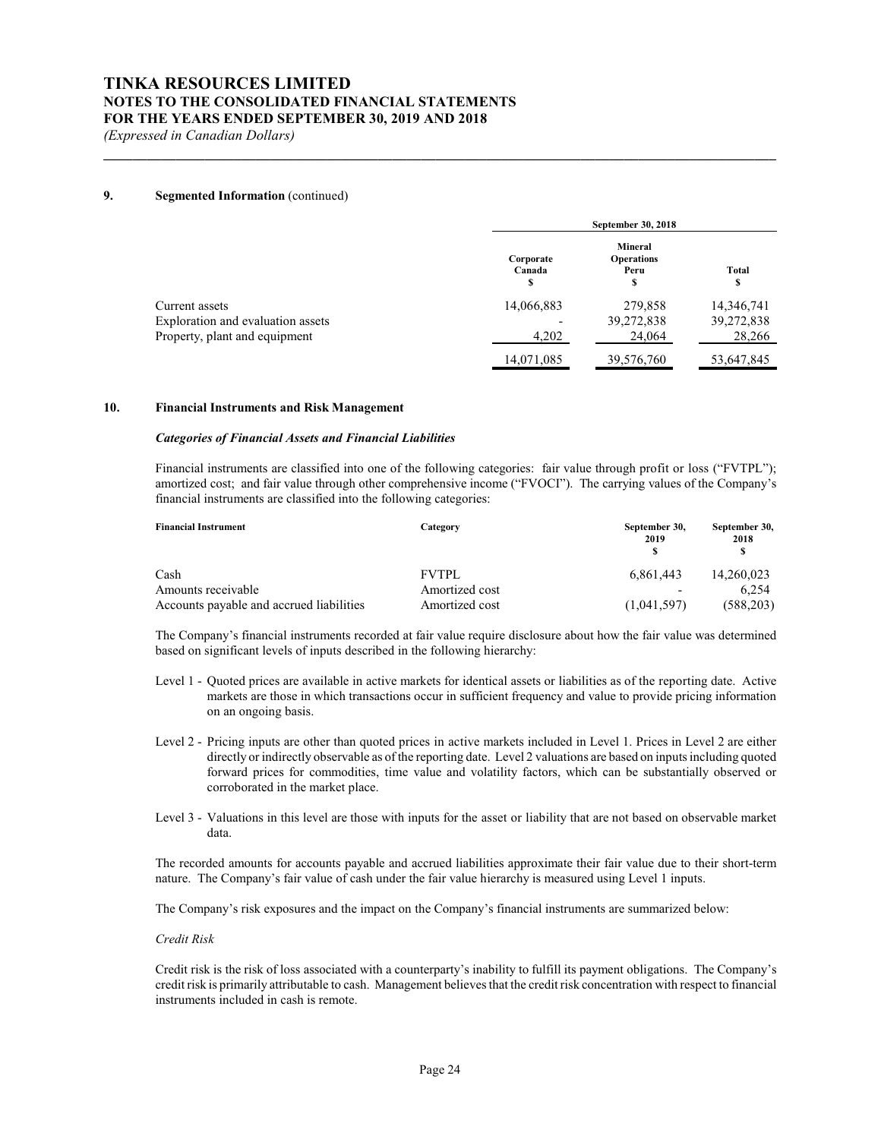#### **9. Segmented Information** (continued)

|                                   | September 30, 2018       |                                                  |             |  |
|-----------------------------------|--------------------------|--------------------------------------------------|-------------|--|
|                                   | Corporate<br>Canada<br>S | <b>Mineral</b><br><b>Operations</b><br>Peru<br>S | Total<br>\$ |  |
| Current assets                    | 14,066,883               | 279,858                                          | 14,346,741  |  |
| Exploration and evaluation assets |                          | 39,272,838                                       | 39,272,838  |  |
| Property, plant and equipment     | 4,202                    | 24,064                                           | 28,266      |  |
|                                   | 14,071,085               | 39,576,760                                       | 53,647,845  |  |

**\_\_\_\_\_\_\_\_\_\_\_\_\_\_\_\_\_\_\_\_\_\_\_\_\_\_\_\_\_\_\_\_\_\_\_\_\_\_\_\_\_\_\_\_\_\_\_\_\_\_\_\_\_\_\_\_\_\_\_\_\_\_\_\_\_\_\_\_\_\_\_\_\_\_\_\_\_\_\_\_\_\_\_\_\_\_\_\_\_\_\_\_\_**

#### **10. Financial Instruments and Risk Management**

#### *Categories of Financial Assets and Financial Liabilities*

Financial instruments are classified into one of the following categories: fair value through profit or loss ("FVTPL"); amortized cost; and fair value through other comprehensive income ("FVOCI"). The carrying values of the Company's financial instruments are classified into the following categories:

| <b>Financial Instrument</b>              | Category       | September 30,<br>2019 | September 30,<br>2018 |
|------------------------------------------|----------------|-----------------------|-----------------------|
| Cash                                     | <b>FVTPL</b>   | 6.861.443             | 14.260.023            |
| Amounts receivable                       | Amortized cost |                       | 6.254                 |
| Accounts payable and accrued liabilities | Amortized cost | (1,041,597)           | (588, 203)            |

The Company's financial instruments recorded at fair value require disclosure about how the fair value was determined based on significant levels of inputs described in the following hierarchy:

- Level 1 Quoted prices are available in active markets for identical assets or liabilities as of the reporting date. Active markets are those in which transactions occur in sufficient frequency and value to provide pricing information on an ongoing basis.
- Level 2 Pricing inputs are other than quoted prices in active markets included in Level 1. Prices in Level 2 are either directly or indirectly observable as of the reporting date. Level 2 valuations are based on inputs including quoted forward prices for commodities, time value and volatility factors, which can be substantially observed or corroborated in the market place.
- Level 3 Valuations in this level are those with inputs for the asset or liability that are not based on observable market data.

The recorded amounts for accounts payable and accrued liabilities approximate their fair value due to their short-term nature. The Company's fair value of cash under the fair value hierarchy is measured using Level 1 inputs.

The Company's risk exposures and the impact on the Company's financial instruments are summarized below:

#### *Credit Risk*

Credit risk is the risk of loss associated with a counterparty's inability to fulfill its payment obligations. The Company's credit risk is primarily attributable to cash. Management believes that the credit risk concentration with respect to financial instruments included in cash is remote.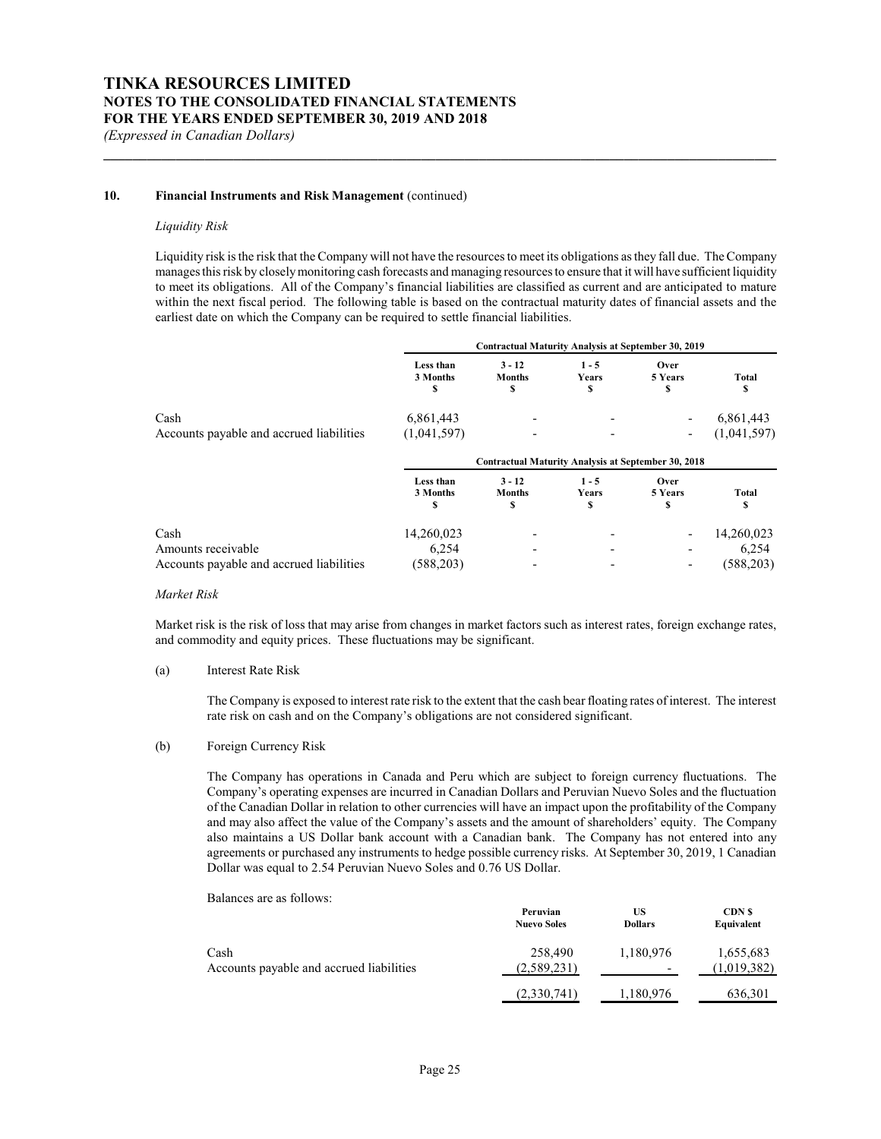#### **10. Financial Instruments and Risk Management** (continued)

#### *Liquidity Risk*

Liquidity risk is the risk that the Company will not have the resources to meet its obligations as they fall due. The Company manages this risk by closelymonitoring cash forecasts and managing resources to ensure that it will have sufficient liquidity to meet its obligations. All of the Company's financial liabilities are classified as current and are anticipated to mature within the next fiscal period. The following table is based on the contractual maturity dates of financial assets and the earliest date on which the Company can be required to settle financial liabilities.

**\_\_\_\_\_\_\_\_\_\_\_\_\_\_\_\_\_\_\_\_\_\_\_\_\_\_\_\_\_\_\_\_\_\_\_\_\_\_\_\_\_\_\_\_\_\_\_\_\_\_\_\_\_\_\_\_\_\_\_\_\_\_\_\_\_\_\_\_\_\_\_\_\_\_\_\_\_\_\_\_\_\_\_\_\_\_\_\_\_\_\_\_\_**

|                                                  | Contractual Maturity Analysis at September 30, 2019 |                           |                          |                 |                          |
|--------------------------------------------------|-----------------------------------------------------|---------------------------|--------------------------|-----------------|--------------------------|
|                                                  | Less than<br>3 Months                               | $3 - 12$<br><b>Months</b> | $1 - 5$<br>Years<br>S    | Over<br>5 Years | Total                    |
| Cash<br>Accounts payable and accrued liabilities | 6,861,443<br>(1,041,597)                            | -                         | $\overline{\phantom{0}}$ | -               | 6,861,443<br>(1,041,597) |

|                                          | <b>Contractual Maturity Analysis at September 30, 2018</b> |                           |                       |                          |            |
|------------------------------------------|------------------------------------------------------------|---------------------------|-----------------------|--------------------------|------------|
|                                          | Less than<br>3 Months                                      | $3 - 12$<br><b>Months</b> | $1 - 5$<br>Years<br>S | Over<br>5 Years          | Total      |
| Cash                                     | 14,260,023                                                 |                           |                       |                          | 14,260,023 |
| Amounts receivable                       | 6.254                                                      |                           |                       | $\overline{\phantom{a}}$ | 6.254      |
| Accounts payable and accrued liabilities | (588, 203)                                                 |                           |                       | $\overline{\phantom{0}}$ | (588, 203) |

#### *Market Risk*

Market risk is the risk of loss that may arise from changes in market factors such as interest rates, foreign exchange rates, and commodity and equity prices. These fluctuations may be significant.

#### (a) Interest Rate Risk

The Company is exposed to interest rate risk to the extent that the cash bear floating rates of interest. The interest rate risk on cash and on the Company's obligations are not considered significant.

#### (b) Foreign Currency Risk

The Company has operations in Canada and Peru which are subject to foreign currency fluctuations. The Company's operating expenses are incurred in Canadian Dollars and Peruvian Nuevo Soles and the fluctuation of the Canadian Dollar in relation to other currencies will have an impact upon the profitability of the Company and may also affect the value of the Company's assets and the amount of shareholders' equity. The Company also maintains a US Dollar bank account with a Canadian bank. The Company has not entered into any agreements or purchased any instruments to hedge possible currency risks. At September 30, 2019, 1 Canadian Dollar was equal to 2.54 Peruvian Nuevo Soles and 0.76 US Dollar.

Balances are as follows:

|                                          | Peruvian           | US                       | <b>CDN</b> \$ |
|------------------------------------------|--------------------|--------------------------|---------------|
|                                          | <b>Nuevo Soles</b> | <b>Dollars</b>           | Equivalent    |
| Cash                                     | 258,490            | 1,180,976                | 1,655,683     |
| Accounts payable and accrued liabilities | (2,589,231)        | $\overline{\phantom{0}}$ | (1,019,382)   |
|                                          | (2,330,741)        | 1,180,976                | 636,301       |